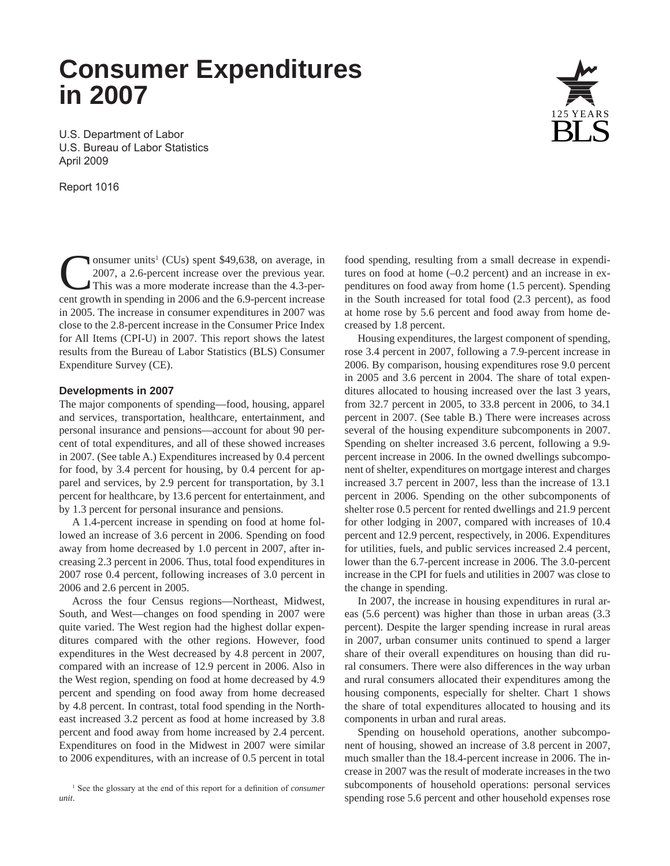# **Consumer Expenditures in 2007**

U.S. Department of Labor U.S. Bureau of Labor Statistics April 2009

Report 1016

Consumer units<sup>1</sup> (CUs) spent \$49,638, on average, in 2007, a 2.6-percent increase over the previous year.<br>This was a more moderate increase than the 4.3-percent growth in spending in 2006 and the 6.9-percent increase onsumer units<sup>1</sup> (CUs) spent \$49,638, on average, in 2007, a 2.6-percent increase over the previous year. This was a more moderate increase than the 4.3-perin 2005. The increase in consumer expenditures in 2007 was close to the 2.8-percent increase in the Consumer Price Index for All Items (CPI-U) in 2007. This report shows the latest results from the Bureau of Labor Statistics (BLS) Consumer Expenditure Survey (CE).

#### **Developments in 2007**

The major components of spending—food, housing, apparel and services, transportation, healthcare, entertainment, and personal insurance and pensions—account for about 90 percent of total expenditures, and all of these showed increases in 2007. (See table A.) Expenditures increased by 0.4 percent for food, by 3.4 percent for housing, by 0.4 percent for apparel and services, by 2.9 percent for transportation, by 3.1 percent for healthcare, by 13.6 percent for entertainment, and by 1.3 percent for personal insurance and pensions.

A 1.4-percent increase in spending on food at home followed an increase of 3.6 percent in 2006. Spending on food away from home decreased by 1.0 percent in 2007, after increasing 2.3 percent in 2006. Thus, total food expenditures in 2007 rose 0.4 percent, following increases of 3.0 percent in 2006 and 2.6 percent in 2005.

Across the four Census regions—Northeast, Midwest, South, and West—changes on food spending in 2007 were quite varied. The West region had the highest dollar expenditures compared with the other regions. However, food expenditures in the West decreased by 4.8 percent in 2007, compared with an increase of 12.9 percent in 2006. Also in the West region, spending on food at home decreased by 4.9 percent and spending on food away from home decreased by 4.8 percent. In contrast, total food spending in the Northeast increased 3.2 percent as food at home increased by 3.8 percent and food away from home increased by 2.4 percent. Expenditures on food in the Midwest in 2007 were similar to 2006 expenditures, with an increase of 0.5 percent in total food spending, resulting from a small decrease in expenditures on food at home (–0.2 percent) and an increase in expenditures on food away from home (1.5 percent). Spending in the South increased for total food (2.3 percent), as food at home rose by 5.6 percent and food away from home decreased by 1.8 percent.

Housing expenditures, the largest component of spending, rose 3.4 percent in 2007, following a 7.9-percent increase in 2006. By comparison, housing expenditures rose 9.0 percent in 2005 and 3.6 percent in 2004. The share of total expenditures allocated to housing increased over the last 3 years, from 32.7 percent in 2005, to 33.8 percent in 2006, to 34.1 percent in 2007. (See table B.) There were increases across several of the housing expenditure subcomponents in 2007. Spending on shelter increased 3.6 percent, following a 9.9 percent increase in 2006. In the owned dwellings subcomponent of shelter, expenditures on mortgage interest and charges increased 3.7 percent in 2007, less than the increase of 13.1 percent in 2006. Spending on the other subcomponents of shelter rose 0.5 percent for rented dwellings and 21.9 percent for other lodging in 2007, compared with increases of 10.4 percent and 12.9 percent, respectively, in 2006. Expenditures for utilities, fuels, and public services increased 2.4 percent, lower than the 6.7-percent increase in 2006. The 3.0-percent increase in the CPI for fuels and utilities in 2007 was close to the change in spending.

In 2007, the increase in housing expenditures in rural areas (5.6 percent) was higher than those in urban areas (3.3 percent). Despite the larger spending increase in rural areas in 2007, urban consumer units continued to spend a larger share of their overall expenditures on housing than did rural consumers. There were also differences in the way urban and rural consumers allocated their expenditures among the housing components, especially for shelter. Chart 1 shows the share of total expenditures allocated to housing and its components in urban and rural areas.

Spending on household operations, another subcomponent of housing, showed an increase of 3.8 percent in 2007, much smaller than the 18.4-percent increase in 2006. The increase in 2007 was the result of moderate increases in the two subcomponents of household operations: personal services spending rose 5.6 percent and other household expenses rose



<sup>&</sup>lt;sup>1</sup> See the glossary at the end of this report for a definition of *consumer unit*.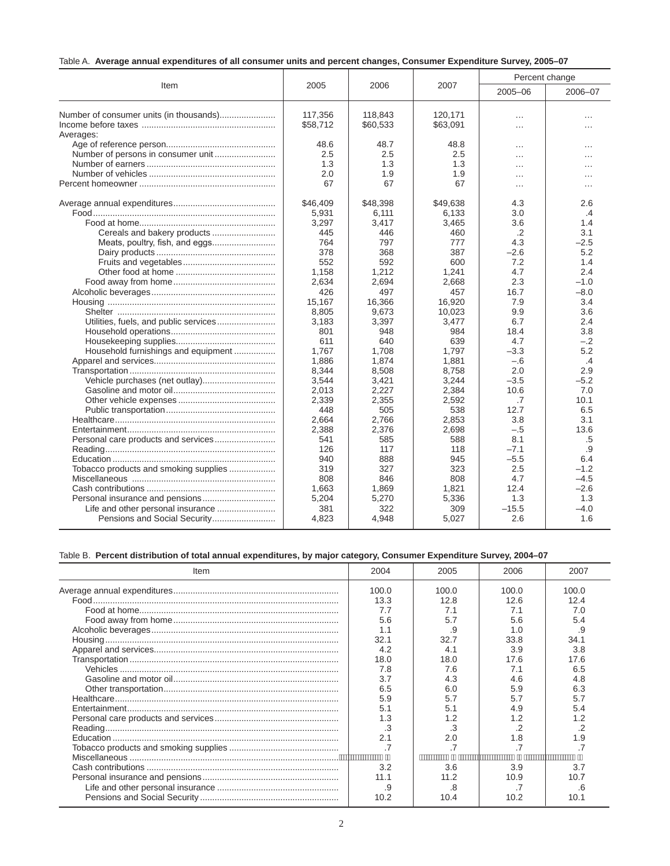| Table A. Average annual expenditures of all consumer units and percent changes, Consumer Expenditure Survey, 2005–07 |  |  |  |  |  |  |  |
|----------------------------------------------------------------------------------------------------------------------|--|--|--|--|--|--|--|
|----------------------------------------------------------------------------------------------------------------------|--|--|--|--|--|--|--|

|                                         |          |          |          | Percent change |          |
|-----------------------------------------|----------|----------|----------|----------------|----------|
| Item                                    | 2005     | 2006     | 2007     | 2005-06        | 2006-07  |
| Number of consumer units (in thousands) | 117,356  | 118,843  | 120,171  | .              | $\cdots$ |
|                                         | \$58,712 | \$60,533 | \$63,091 | $\cdots$       | $\cdots$ |
| Averages:                               |          |          |          |                |          |
|                                         | 48.6     | 48.7     | 48.8     | .              | .        |
|                                         | 2.5      | 2.5      | 2.5      | $\cdots$       | .        |
|                                         | 1.3      | 1.3      | 1.3      | .              |          |
|                                         | 2.0      | 1.9      | 1.9      | $\cdots$       | .        |
|                                         | 67       | 67       | 67       | $\cdots$       | $\cdots$ |
|                                         | \$46,409 | \$48,398 | \$49,638 | 4.3            | 2.6      |
|                                         | 5,931    | 6,111    | 6,133    | 3.0            | $\cdot$  |
|                                         | 3,297    | 3,417    | 3,465    | 3.6            | 1.4      |
| Cereals and bakery products             | 445      | 446      | 460      | .2             | 3.1      |
|                                         | 764      | 797      | 777      | 4.3            | $-2.5$   |
|                                         | 378      | 368      | 387      | $-2.6$         | 5.2      |
|                                         | 552      | 592      | 600      | 7.2            | 1.4      |
|                                         | 1,158    | 1,212    | 1,241    | 4.7            | 2.4      |
|                                         | 2,634    | 2,694    | 2,668    | 2.3            | $-1.0$   |
|                                         | 426      | 497      | 457      | 16.7           | $-8.0$   |
|                                         | 15,167   | 16,366   | 16,920   | 7.9            | 3.4      |
|                                         | 8,805    | 9,673    | 10,023   | 9.9            | 3.6      |
|                                         | 3,183    | 3,397    | 3,477    | 6.7            | 2.4      |
|                                         | 801      | 948      | 984      | 18.4           | 3.8      |
|                                         | 611      | 640      | 639      | 4.7            | $-.2$    |
| Household furnishings and equipment     | 1,767    | 1,708    | 1,797    | $-3.3$         | 5.2      |
|                                         | 1.886    | 1.874    | 1,881    | $-.6$          | .4       |
|                                         | 8,344    | 8,508    | 8,758    | 2.0            | 2.9      |
|                                         | 3,544    | 3,421    | 3,244    | $-3.5$         | $-5.2$   |
|                                         | 2,013    | 2,227    | 2,384    | 10.6           | 7.0      |
|                                         | 2,339    | 2,355    | 2,592    | .7             | 10.1     |
|                                         | 448      | 505      | 538      | 12.7           | 6.5      |
|                                         | 2.664    | 2.766    | 2,853    | 3.8            | 3.1      |
|                                         | 2,388    | 2,376    | 2,698    | $-.5$          | 13.6     |
|                                         | 541      | 585      | 588      | 8.1            | .5       |
|                                         | 126      | 117      | 118      | $-7.1$         | .9       |
|                                         | 940      | 888      | 945      | $-5.5$         | 6.4      |
| Tobacco products and smoking supplies   | 319      | 327      | 323      | 2.5            | $-1.2$   |
|                                         | 808      | 846      | 808      | 4.7            | $-4.5$   |
|                                         | 1,663    | 1,869    | 1,821    | 12.4           | $-2.6$   |
|                                         | 5,204    | 5,270    | 5,336    | 1.3            | 1.3      |
| Life and other personal insurance       | 381      | 322      | 309      | $-15.5$        | $-4.0$   |
| Pensions and Social Security            | 4,823    | 4,948    | 5,027    | 2.6            | 1.6      |

## Table B. **Percent distribution of total annual expenditures, by major category, Consumer Expenditure Survey, 2004–07**

| Item | 2004  | 2005  | 2006  | 2007  |
|------|-------|-------|-------|-------|
|      | 100.0 | 100.0 | 100.0 | 100.0 |
|      | 13.3  | 12.8  | 12.6  | 12.4  |
|      | 7.7   | 7.1   | 7.1   | 7.0   |
|      | 5.6   | 5.7   | 5.6   | 5.4   |
|      | 1.1   | .9    | 1 በ   | .9    |
|      | 32.1  | 32.7  | 33.8  | 34.1  |
|      | 4.2   | 4.1   | 3.9   | 3.8   |
|      | 18.0  | 18.0  | 17.6  | 17.6  |
|      | 7.8   | 7.6   |       | 6.5   |
|      | 3.7   | 4.3   | 4 6   | 4.8   |
|      | 6.5   | 6.0   | 5.9   |       |
|      | 5.9   | 5.7   |       |       |
|      | 5.1   | 5.1   |       |       |
|      | 1.3   | 1.2   |       |       |
|      | .3    | .3    |       |       |
|      | 2.1   | 2.0   | .8    |       |
|      |       |       |       |       |
|      |       |       |       |       |
|      | 3.2   | 3.6   | 3.9   | 3.7   |
|      | 11.1  | 11.2  | 10.9  | 10.7  |
|      | .9    | .8    |       | .6    |
|      | 10.2  | 10.4  | 10.2  | 10.1  |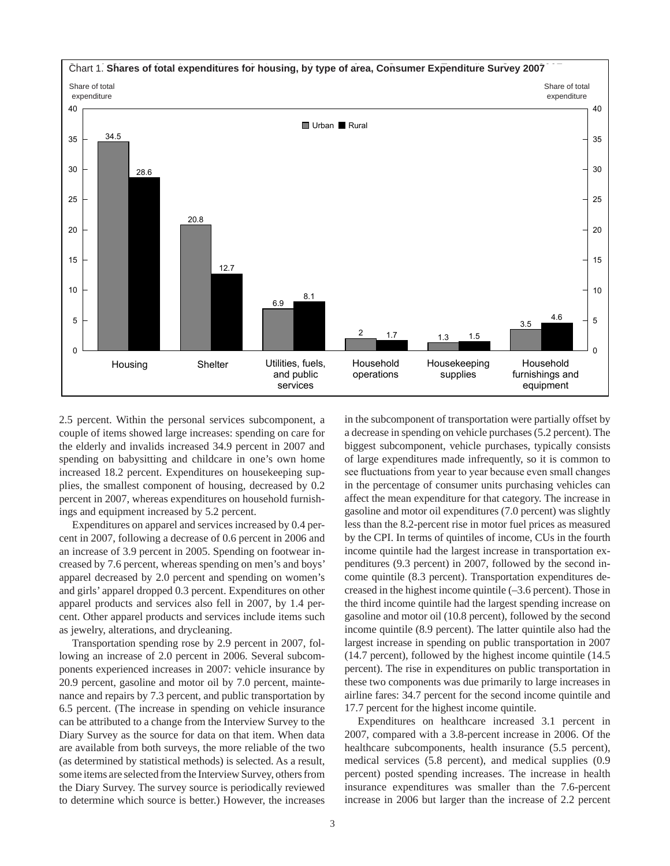

2.5 percent. Within the personal services subcomponent, a couple of items showed large increases: spending on care for the elderly and invalids increased 34.9 percent in 2007 and spending on babysitting and childcare in one's own home increased 18.2 percent. Expenditures on housekeeping supplies, the smallest component of housing, decreased by 0.2 percent in 2007, whereas expenditures on household furnishings and equipment increased by 5.2 percent.

Expenditures on apparel and services increased by 0.4 percent in 2007, following a decrease of 0.6 percent in 2006 and an increase of 3.9 percent in 2005. Spending on footwear increased by 7.6 percent, whereas spending on men's and boys' apparel decreased by 2.0 percent and spending on women's and girls' apparel dropped 0.3 percent. Expenditures on other apparel products and services also fell in 2007, by 1.4 percent. Other apparel products and services include items such as jewelry, alterations, and drycleaning.

Transportation spending rose by 2.9 percent in 2007, following an increase of 2.0 percent in 2006. Several subcomponents experienced increases in 2007: vehicle insurance by 20.9 percent, gasoline and motor oil by 7.0 percent, maintenance and repairs by 7.3 percent, and public transportation by 6.5 percent. (The increase in spending on vehicle insurance can be attributed to a change from the Interview Survey to the Diary Survey as the source for data on that item. When data are available from both surveys, the more reliable of the two (as determined by statistical methods) is selected. As a result, some items are selected from the Interview Survey, others from the Diary Survey. The survey source is periodically reviewed to determine which source is better.) However, the increases in the subcomponent of transportation were partially offset by a decrease in spending on vehicle purchases (5.2 percent). The biggest subcomponent, vehicle purchases, typically consists of large expenditures made infrequently, so it is common to see fluctuations from year to year because even small changes in the percentage of consumer units purchasing vehicles can affect the mean expenditure for that category. The increase in gasoline and motor oil expenditures (7.0 percent) was slightly less than the 8.2-percent rise in motor fuel prices as measured by the CPI. In terms of quintiles of income, CUs in the fourth income quintile had the largest increase in transportation expenditures (9.3 percent) in 2007, followed by the second income quintile (8.3 percent). Transportation expenditures decreased in the highest income quintile (–3.6 percent). Those in the third income quintile had the largest spending increase on gasoline and motor oil (10.8 percent), followed by the second income quintile (8.9 percent). The latter quintile also had the largest increase in spending on public transportation in 2007 (14.7 percent), followed by the highest income quintile (14.5 percent). The rise in expenditures on public transportation in these two components was due primarily to large increases in airline fares: 34.7 percent for the second income quintile and 17.7 percent for the highest income quintile.

Expenditures on healthcare increased 3.1 percent in 2007, compared with a 3.8-percent increase in 2006. Of the healthcare subcomponents, health insurance (5.5 percent), medical services (5.8 percent), and medical supplies (0.9 percent) posted spending increases. The increase in health insurance expenditures was smaller than the 7.6-percent increase in 2006 but larger than the increase of 2.2 percent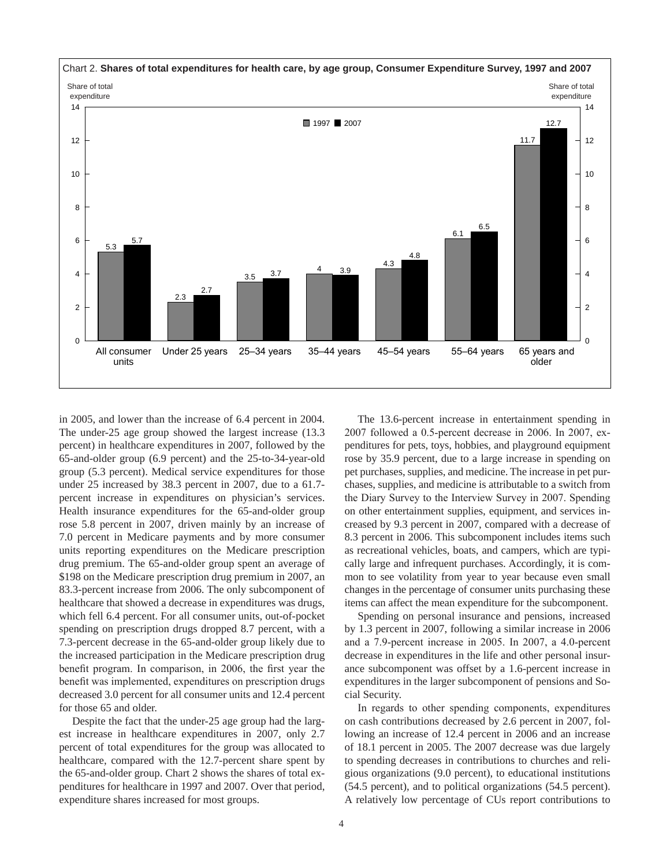

in 2005, and lower than the increase of 6.4 percent in 2004. The under-25 age group showed the largest increase (13.3 percent) in healthcare expenditures in 2007, followed by the 65-and-older group (6.9 percent) and the 25-to-34-year-old group (5.3 percent). Medical service expenditures for those under 25 increased by 38.3 percent in 2007, due to a 61.7 percent increase in expenditures on physician's services. Health insurance expenditures for the 65-and-older group rose 5.8 percent in 2007, driven mainly by an increase of 7.0 percent in Medicare payments and by more consumer units reporting expenditures on the Medicare prescription drug premium. The 65-and-older group spent an average of \$198 on the Medicare prescription drug premium in 2007, an 83.3-percent increase from 2006. The only subcomponent of healthcare that showed a decrease in expenditures was drugs, which fell 6.4 percent. For all consumer units, out-of-pocket spending on prescription drugs dropped 8.7 percent, with a 7.3-percent decrease in the 65-and-older group likely due to the increased participation in the Medicare prescription drug benefit program. In comparison, in 2006, the first year the benefit was implemented, expenditures on prescription drugs decreased 3.0 percent for all consumer units and 12.4 percent for those 65 and older.

Despite the fact that the under-25 age group had the largest increase in healthcare expenditures in 2007, only 2.7 percent of total expenditures for the group was allocated to healthcare, compared with the 12.7-percent share spent by the 65-and-older group. Chart 2 shows the shares of total expenditures for healthcare in 1997 and 2007. Over that period, expenditure shares increased for most groups.

The 13.6-percent increase in entertainment spending in 2007 followed a 0.5-percent decrease in 2006. In 2007, expenditures for pets, toys, hobbies, and playground equipment rose by 35.9 percent, due to a large increase in spending on pet purchases, supplies, and medicine. The increase in pet purchases, supplies, and medicine is attributable to a switch from the Diary Survey to the Interview Survey in 2007. Spending on other entertainment supplies, equipment, and services increased by 9.3 percent in 2007, compared with a decrease of 8.3 percent in 2006. This subcomponent includes items such as recreational vehicles, boats, and campers, which are typically large and infrequent purchases. Accordingly, it is common to see volatility from year to year because even small changes in the percentage of consumer units purchasing these items can affect the mean expenditure for the subcomponent.

Spending on personal insurance and pensions, increased by 1.3 percent in 2007, following a similar increase in 2006 and a 7.9-percent increase in 2005. In 2007, a 4.0-percent decrease in expenditures in the life and other personal insurance subcomponent was offset by a 1.6-percent increase in expenditures in the larger subcomponent of pensions and Social Security.

In regards to other spending components, expenditures on cash contributions decreased by 2.6 percent in 2007, following an increase of 12.4 percent in 2006 and an increase of 18.1 percent in 2005. The 2007 decrease was due largely to spending decreases in contributions to churches and religious organizations (9.0 percent), to educational institutions (54.5 percent), and to political organizations (54.5 percent). A relatively low percentage of CUs report contributions to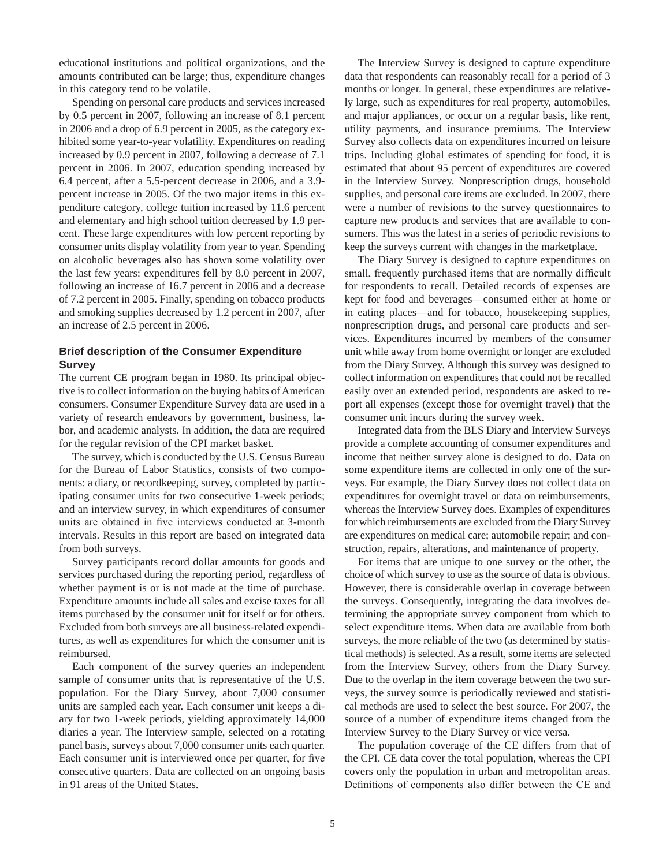educational institutions and political organizations, and the amounts contributed can be large; thus, expenditure changes in this category tend to be volatile.

Spending on personal care products and services increased by 0.5 percent in 2007, following an increase of 8.1 percent in 2006 and a drop of 6.9 percent in 2005, as the category exhibited some year-to-year volatility. Expenditures on reading increased by 0.9 percent in 2007, following a decrease of 7.1 percent in 2006. In 2007, education spending increased by 6.4 percent, after a 5.5-percent decrease in 2006, and a 3.9 percent increase in 2005. Of the two major items in this expenditure category, college tuition increased by 11.6 percent and elementary and high school tuition decreased by 1.9 percent. These large expenditures with low percent reporting by consumer units display volatility from year to year. Spending on alcoholic beverages also has shown some volatility over the last few years: expenditures fell by 8.0 percent in 2007, following an increase of 16.7 percent in 2006 and a decrease of 7.2 percent in 2005. Finally, spending on tobacco products and smoking supplies decreased by 1.2 percent in 2007, after an increase of 2.5 percent in 2006.

## **Brief description of the Consumer Expenditure Survey**

The current CE program began in 1980. Its principal objective is to collect information on the buying habits of American consumers. Consumer Expenditure Survey data are used in a variety of research endeavors by government, business, labor, and academic analysts. In addition, the data are required for the regular revision of the CPI market basket.

The survey, which is conducted by the U.S. Census Bureau for the Bureau of Labor Statistics, consists of two components: a diary, or recordkeeping, survey, completed by participating consumer units for two consecutive 1-week periods; and an interview survey, in which expenditures of consumer units are obtained in five interviews conducted at 3-month intervals. Results in this report are based on integrated data from both surveys.

Survey participants record dollar amounts for goods and services purchased during the reporting period, regardless of whether payment is or is not made at the time of purchase. Expenditure amounts include all sales and excise taxes for all items purchased by the consumer unit for itself or for others. Excluded from both surveys are all business-related expenditures, as well as expenditures for which the consumer unit is reimbursed.

Each component of the survey queries an independent sample of consumer units that is representative of the U.S. population. For the Diary Survey, about 7,000 consumer units are sampled each year. Each consumer unit keeps a diary for two 1-week periods, yielding approximately 14,000 diaries a year. The Interview sample, selected on a rotating panel basis, surveys about 7,000 consumer units each quarter. Each consumer unit is interviewed once per quarter, for five consecutive quarters. Data are collected on an ongoing basis in 91 areas of the United States.

The Interview Survey is designed to capture expenditure data that respondents can reasonably recall for a period of 3 months or longer. In general, these expenditures are relatively large, such as expenditures for real property, automobiles, and major appliances, or occur on a regular basis, like rent, utility payments, and insurance premiums. The Interview Survey also collects data on expenditures incurred on leisure trips. Including global estimates of spending for food, it is estimated that about 95 percent of expenditures are covered in the Interview Survey. Nonprescription drugs, household supplies, and personal care items are excluded. In 2007, there were a number of revisions to the survey questionnaires to capture new products and services that are available to consumers. This was the latest in a series of periodic revisions to keep the surveys current with changes in the marketplace.

The Diary Survey is designed to capture expenditures on small, frequently purchased items that are normally difficult for respondents to recall. Detailed records of expenses are kept for food and beverages—consumed either at home or in eating places—and for tobacco, housekeeping supplies, nonprescription drugs, and personal care products and services. Expenditures incurred by members of the consumer unit while away from home overnight or longer are excluded from the Diary Survey. Although this survey was designed to collect information on expenditures that could not be recalled easily over an extended period, respondents are asked to report all expenses (except those for overnight travel) that the consumer unit incurs during the survey week.

Integrated data from the BLS Diary and Interview Surveys provide a complete accounting of consumer expenditures and income that neither survey alone is designed to do. Data on some expenditure items are collected in only one of the surveys. For example, the Diary Survey does not collect data on expenditures for overnight travel or data on reimbursements, whereas the Interview Survey does. Examples of expenditures for which reimbursements are excluded from the Diary Survey are expenditures on medical care; automobile repair; and construction, repairs, alterations, and maintenance of property.

For items that are unique to one survey or the other, the choice of which survey to use as the source of data is obvious. However, there is considerable overlap in coverage between the surveys. Consequently, integrating the data involves determining the appropriate survey component from which to select expenditure items. When data are available from both surveys, the more reliable of the two (as determined by statistical methods) is selected. As a result, some items are selected from the Interview Survey, others from the Diary Survey. Due to the overlap in the item coverage between the two surveys, the survey source is periodically reviewed and statistical methods are used to select the best source. For 2007, the source of a number of expenditure items changed from the Interview Survey to the Diary Survey or vice versa.

The population coverage of the CE differs from that of the CPI. CE data cover the total population, whereas the CPI covers only the population in urban and metropolitan areas. Definitions of components also differ between the CE and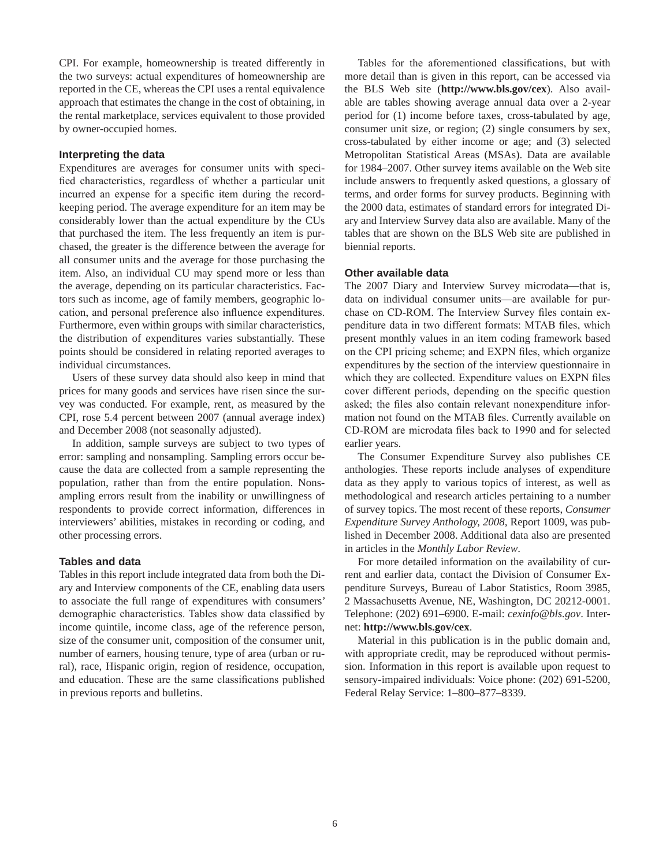CPI. For example, homeownership is treated differently in the two surveys: actual expenditures of homeownership are reported in the CE, whereas the CPI uses a rental equivalence approach that estimates the change in the cost of obtaining, in the rental marketplace, services equivalent to those provided by owner-occupied homes.

#### **Interpreting the data**

Expenditures are averages for consumer units with specified characteristics, regardless of whether a particular unit incurred an expense for a specific item during the recordkeeping period. The average expenditure for an item may be considerably lower than the actual expenditure by the CUs that purchased the item. The less frequently an item is purchased, the greater is the difference between the average for all consumer units and the average for those purchasing the item. Also, an individual CU may spend more or less than the average, depending on its particular characteristics. Factors such as income, age of family members, geographic location, and personal preference also influence expenditures. Furthermore, even within groups with similar characteristics, the distribution of expenditures varies substantially. These points should be considered in relating reported averages to individual circumstances.

Users of these survey data should also keep in mind that prices for many goods and services have risen since the survey was conducted. For example, rent, as measured by the CPI, rose 5.4 percent between 2007 (annual average index) and December 2008 (not seasonally adjusted).

In addition, sample surveys are subject to two types of error: sampling and nonsampling. Sampling errors occur because the data are collected from a sample representing the population, rather than from the entire population. Nonsampling errors result from the inability or unwillingness of respondents to provide correct information, differences in interviewers' abilities, mistakes in recording or coding, and other processing errors.

#### **Tables and data**

Tables in this report include integrated data from both the Diary and Interview components of the CE, enabling data users to associate the full range of expenditures with consumers' demographic characteristics. Tables show data classified by income quintile, income class, age of the reference person, size of the consumer unit, composition of the consumer unit, number of earners, housing tenure, type of area (urban or rural), race, Hispanic origin, region of residence, occupation, and education. These are the same classifications published in previous reports and bulletins.

Tables for the aforementioned classifications, but with more detail than is given in this report, can be accessed via the BLS Web site (**http://www.bls.gov/cex**). Also available are tables showing average annual data over a 2-year period for (1) income before taxes, cross-tabulated by age, consumer unit size, or region; (2) single consumers by sex, cross-tabulated by either income or age; and (3) selected Metropolitan Statistical Areas (MSAs). Data are available for 1984–2007. Other survey items available on the Web site include answers to frequently asked questions, a glossary of terms, and order forms for survey products. Beginning with the 2000 data, estimates of standard errors for integrated Diary and Interview Survey data also are available. Many of the tables that are shown on the BLS Web site are published in biennial reports.

#### **Other available data**

The 2007 Diary and Interview Survey microdata—that is, data on individual consumer units—are available for purchase on CD-ROM. The Interview Survey files contain expenditure data in two different formats: MTAB files, which present monthly values in an item coding framework based on the CPI pricing scheme; and EXPN files, which organize expenditures by the section of the interview questionnaire in which they are collected. Expenditure values on EXPN files cover different periods, depending on the specific question asked; the files also contain relevant nonexpenditure information not found on the MTAB files. Currently available on CD-ROM are microdata files back to 1990 and for selected earlier years.

The Consumer Expenditure Survey also publishes CE anthologies. These reports include analyses of expenditure data as they apply to various topics of interest, as well as methodological and research articles pertaining to a number of survey topics. The most recent of these reports, *Consumer Expenditure Survey Anthology, 2008,* Report 1009, was published in December 2008. Additional data also are presented in articles in the *Monthly Labor Review*.

For more detailed information on the availability of current and earlier data, contact the Division of Consumer Expenditure Surveys, Bureau of Labor Statistics, Room 3985, 2 Massachusetts Avenue, NE, Washington, DC 20212-0001. Telephone: (202) 691–6900. E-mail: *cexinfo@bls.gov*. Internet: **http://www.bls.gov/cex**.

Material in this publication is in the public domain and, with appropriate credit, may be reproduced without permission. Information in this report is available upon request to sensory-impaired individuals: Voice phone: (202) 691-5200, Federal Relay Service: 1–800–877–8339.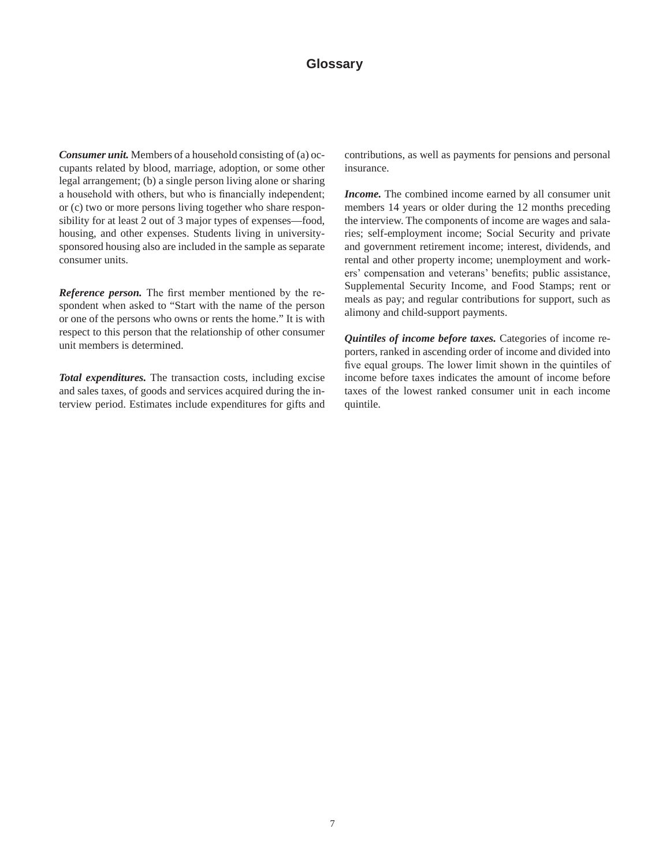*Consumer unit.* Members of a household consisting of (a) occupants related by blood, marriage, adoption, or some other legal arrangement; (b) a single person living alone or sharing a household with others, but who is financially independent; or (c) two or more persons living together who share responsibility for at least 2 out of 3 major types of expenses—food, housing, and other expenses. Students living in universitysponsored housing also are included in the sample as separate consumer units.

*Reference person.* The first member mentioned by the respondent when asked to "Start with the name of the person or one of the persons who owns or rents the home." It is with respect to this person that the relationship of other consumer unit members is determined.

*Total expenditures.* The transaction costs, including excise and sales taxes, of goods and services acquired during the interview period. Estimates include expenditures for gifts and contributions, as well as payments for pensions and personal insurance.

*Income.* The combined income earned by all consumer unit members 14 years or older during the 12 months preceding the interview. The components of income are wages and salaries; self-employment income; Social Security and private and government retirement income; interest, dividends, and rental and other property income; unemployment and workers' compensation and veterans' benefits; public assistance, Supplemental Security Income, and Food Stamps; rent or meals as pay; and regular contributions for support, such as alimony and child-support payments.

*Quintiles of income before taxes.* Categories of income reporters, ranked in ascending order of income and divided into five equal groups. The lower limit shown in the quintiles of income before taxes indicates the amount of income before taxes of the lowest ranked consumer unit in each income quintile.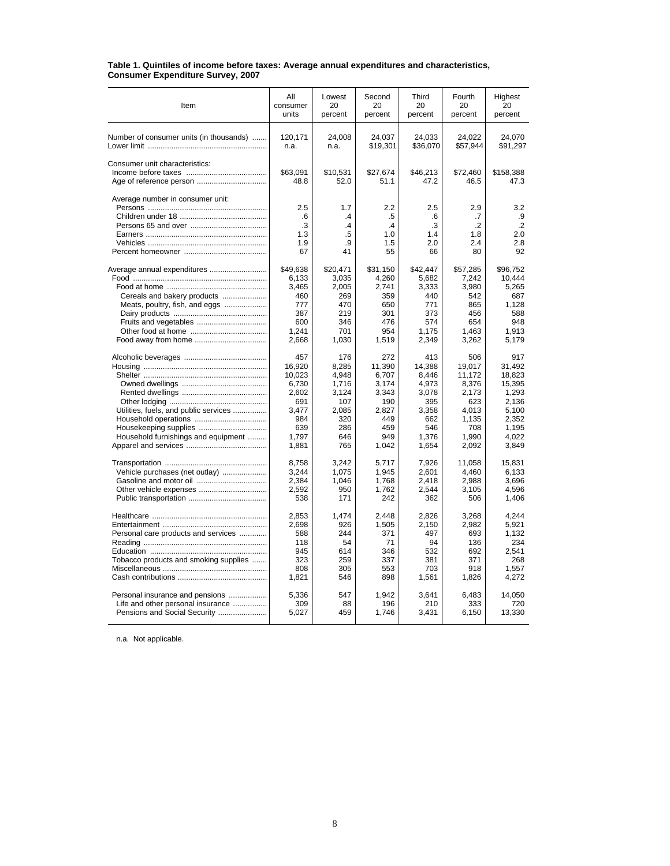| Item                                    | All<br>consumer<br>units | Lowest<br>20<br>percent | Second<br>20<br>percent | Third<br>20<br>percent | Fourth<br>20<br>percent | Highest<br>20<br>percent |
|-----------------------------------------|--------------------------|-------------------------|-------------------------|------------------------|-------------------------|--------------------------|
|                                         |                          |                         |                         |                        |                         |                          |
| Number of consumer units (in thousands) | 120.171<br>n.a.          | 24,008<br>n.a.          | 24.037<br>\$19,301      | 24,033<br>\$36,070     | 24.022<br>\$57,944      | 24,070<br>\$91,297       |
| Consumer unit characteristics:          |                          |                         |                         |                        |                         |                          |
|                                         | \$63,091                 | \$10,531                | \$27,674                | \$46,213               | \$72,460                | \$158,388                |
|                                         | 48.8                     | 52.0                    | 51.1                    | 47.2                   | 46.5                    | 47.3                     |
| Average number in consumer unit:        |                          |                         |                         |                        |                         |                          |
|                                         | 2.5                      | 1.7                     | 2.2                     | 2.5                    | 2.9                     | 3.2                      |
|                                         | .6                       | $\cdot$                 | .5                      | .6                     | .7                      | .9                       |
|                                         | .3                       | .4                      | $\cdot$                 | .3                     | $\cdot$                 | $\cdot$                  |
|                                         | 1.3                      | .5                      | 1.0                     | 1.4                    | 1.8                     | 2.0                      |
|                                         | 1.9                      | .9                      | 1.5                     | 2.0                    | 2.4                     | 2.8                      |
|                                         | 67                       | 41                      | 55                      | 66                     | 80                      | 92                       |
|                                         | \$49,638                 | \$20,471                | \$31,150                | \$42,447               | \$57,285                | \$96,752                 |
|                                         | 6,133                    | 3,035                   | 4,260                   | 5,682                  | 7,242                   | 10,444                   |
|                                         | 3,465                    | 2,005                   | 2,741                   | 3,333                  | 3,980                   | 5,265                    |
| Cereals and bakery products             | 460                      | 269                     | 359                     | 440                    | 542                     | 687                      |
| Meats, poultry, fish, and eggs          | 777                      | 470                     | 650                     | 771                    | 865                     | 1.128                    |
|                                         | 387                      | 219                     | 301                     | 373                    | 456                     | 588                      |
|                                         | 600                      | 346                     | 476                     | 574                    | 654                     | 948                      |
|                                         | 1,241                    | 701                     | 954                     | 1,175                  | 1,463                   | 1,913                    |
|                                         | 2,668                    | 1,030                   | 1,519                   | 2,349                  | 3,262                   | 5,179                    |
|                                         | 457                      | 176                     | 272                     | 413                    | 506                     | 917                      |
|                                         | 16.920                   | 8.285                   | 11,390                  | 14.388                 | 19.017                  | 31.492                   |
|                                         | 10,023                   | 4,948                   | 6,707                   | 8,446                  | 11,172                  | 18,823                   |
|                                         | 6,730                    | 1,716                   | 3,174                   | 4,973                  | 8,376                   | 15,395                   |
|                                         | 2,602                    | 3,124                   | 3,343                   | 3,078                  | 2,173                   | 1,293                    |
|                                         | 691                      | 107                     | 190                     | 395                    | 623                     | 2,136                    |
| Utilities, fuels, and public services   | 3,477                    | 2,085                   | 2,827                   | 3,358                  | 4,013                   | 5,100                    |
|                                         | 984                      | 320                     | 449                     | 662                    | 1,135                   | 2,352                    |
|                                         | 639                      | 286                     | 459                     | 546                    | 708                     | 1,195                    |
| Household furnishings and equipment     | 1,797                    | 646                     | 949                     | 1,376                  | 1,990                   | 4,022                    |
|                                         | 1,881                    | 765                     | 1,042                   | 1,654                  | 2,092                   | 3,849                    |
|                                         | 8,758                    | 3,242                   | 5,717                   | 7,926                  | 11,058                  | 15,831                   |
| Vehicle purchases (net outlay)          | 3,244                    | 1,075                   | 1,945                   | 2,601                  | 4,460                   | 6,133                    |
|                                         | 2,384                    | 1,046                   | 1,768                   | 2,418                  | 2,988                   | 3.696                    |
|                                         | 2,592                    | 950                     | 1,762                   | 2,544                  | 3,105                   | 4,596                    |
|                                         | 538                      | 171                     | 242                     | 362                    | 506                     | 1,406                    |
|                                         | 2,853                    | 1,474                   | 2,448                   | 2,826                  | 3,268                   | 4,244                    |
|                                         | 2,698                    | 926                     | 1,505                   | 2,150                  | 2,982                   | 5,921                    |
| Personal care products and services     | 588                      | 244                     | 371                     | 497                    | 693                     | 1.132                    |
|                                         | 118                      | 54                      | 71                      | 94                     | 136                     | 234                      |
|                                         | 945                      | 614                     | 346                     | 532                    | 692                     | 2.541                    |
| Tobacco products and smoking supplies   | 323                      | 259                     | 337                     | 381                    | 371                     | 268                      |
|                                         | 808                      | 305                     | 553                     | 703                    | 918                     | 1.557                    |
|                                         | 1,821                    | 546                     | 898                     | 1,561                  | 1,826                   | 4,272                    |
| Personal insurance and pensions         | 5,336                    | 547                     | 1,942                   | 3,641                  | 6,483                   | 14,050                   |
| Life and other personal insurance       | 309                      | 88                      | 196                     | 210                    | 333                     | 720                      |
| Pensions and Social Security            | 5,027                    | 459                     | 1,746                   | 3,431                  | 6,150                   | 13,330                   |

#### **Table 1. Quintiles of income before taxes: Average annual expenditures and characteristics, Consumer Expenditure Survey, 2007**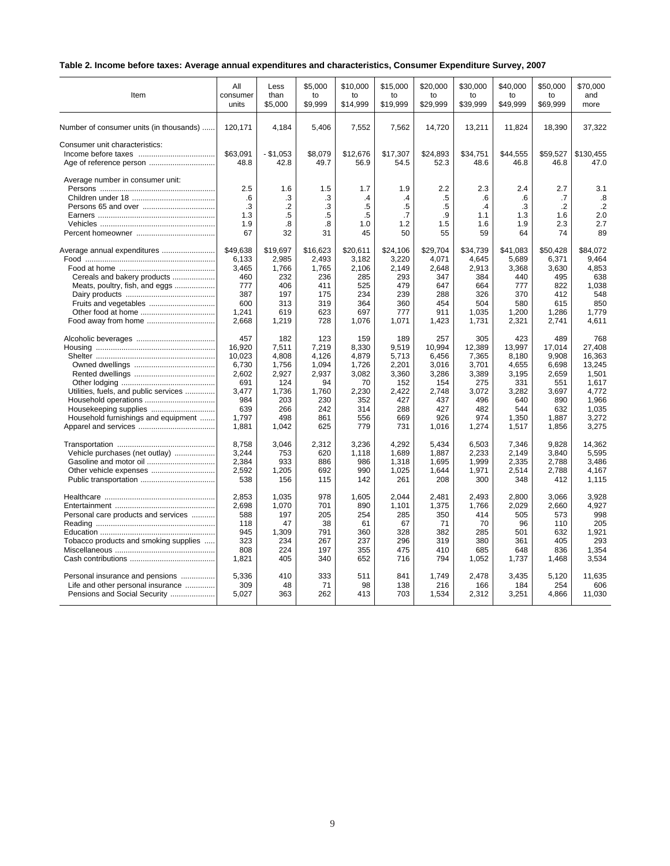### **Table 2. Income before taxes: Average annual expenditures and characteristics, Consumer Expenditure Survey, 2007**

| Item                                    | All                                 | Less                                              | \$5.000                           | \$10,000                                | \$15,000                                      | \$20.000                               | \$30,000                                 | \$40,000                            | \$50,000                                 | \$70.000                                 |
|-----------------------------------------|-------------------------------------|---------------------------------------------------|-----------------------------------|-----------------------------------------|-----------------------------------------------|----------------------------------------|------------------------------------------|-------------------------------------|------------------------------------------|------------------------------------------|
|                                         | consumer                            | than                                              | to                                | to                                      | to                                            | to                                     | to                                       | to                                  | to                                       | and                                      |
|                                         | units                               | \$5,000                                           | \$9.999                           | \$14,999                                | \$19.999                                      | \$29.999                               | \$39,999                                 | \$49.999                            | \$69.999                                 | more                                     |
| Number of consumer units (in thousands) | 120,171                             | 4,184                                             | 5,406                             | 7,552                                   | 7,562                                         | 14,720                                 | 13,211                                   | 11,824                              | 18,390                                   | 37,322                                   |
| Consumer unit characteristics:          | \$63.091<br>48.8                    | $-$ \$1,053<br>42.8                               | \$8.079<br>49.7                   | \$12,676<br>56.9                        | \$17.307<br>54.5                              | \$24,893<br>52.3                       | \$34,751<br>48.6                         | \$44,555<br>46.8                    | \$59,527<br>46.8                         | \$130.455<br>47.0                        |
| Average number in consumer unit:        | 2.5<br>.6<br>.3<br>1.3<br>1.9<br>67 | 1.6<br>.3<br>$\overline{2}$<br>$.5\,$<br>.8<br>32 | 1.5<br>.3<br>.3<br>.5<br>.8<br>31 | 1.7<br>$\cdot$<br>.5<br>.5<br>1.0<br>45 | 1.9<br>.4<br>$.5\,$<br>$\cdot$ 7<br>1.2<br>50 | 2.2<br>.5<br>$.5\,$<br>.9<br>1.5<br>55 | 2.3<br>.6<br>$\cdot$<br>1.1<br>1.6<br>59 | 2.4<br>.6<br>.3<br>1.3<br>1.9<br>64 | 2.7<br>.7<br>$\cdot$<br>1.6<br>2.3<br>74 | 3.1<br>.8<br>$\cdot$<br>2.0<br>2.7<br>89 |
| Average annual expenditures             | \$49,638                            | \$19,697                                          | \$16,623                          | \$20,611                                | \$24,106                                      | \$29,704                               | \$34,739                                 | \$41,083                            | \$50,428                                 | \$84.072                                 |
|                                         | 6,133                               | 2,985                                             | 2,493                             | 3,182                                   | 3,220                                         | 4,071                                  | 4,645                                    | 5,689                               | 6,371                                    | 9,464                                    |
|                                         | 3,465                               | 1,766                                             | 1,765                             | 2,106                                   | 2,149                                         | 2,648                                  | 2,913                                    | 3,368                               | 3,630                                    | 4.853                                    |
| Cereals and bakery products             | 460                                 | 232                                               | 236                               | 285                                     | 293                                           | 347                                    | 384                                      | 440                                 | 495                                      | 638                                      |
| Meats, poultry, fish, and eggs          | 777                                 | 406                                               | 411                               | 525                                     | 479                                           | 647                                    | 664                                      | 777                                 | 822                                      | 1,038                                    |
|                                         | 387                                 | 197                                               | 175                               | 234                                     | 239                                           | 288                                    | 326                                      | 370                                 | 412                                      | 548                                      |
| Fruits and vegetables                   | 600                                 | 313                                               | 319                               | 364                                     | 360                                           | 454                                    | 504                                      | 580                                 | 615                                      | 850                                      |
|                                         | 1,241                               | 619                                               | 623                               | 697                                     | 777                                           | 911                                    | 1.035                                    | 1,200                               | 1,286                                    | 1.779                                    |
|                                         | 2.668                               | 1,219                                             | 728                               | 1.076                                   | 1,071                                         | 1,423                                  | 1.731                                    | 2,321                               | 2.741                                    | 4.611                                    |
|                                         | 457                                 | 182                                               | 123                               | 159                                     | 189                                           | 257                                    | 305                                      | 423                                 | 489                                      | 768                                      |
|                                         | 16.920                              | 7,511                                             | 7,219                             | 8,330                                   | 9.519                                         | 10,994                                 | 12,389                                   | 13.997                              | 17,014                                   | 27.408                                   |
|                                         | 10,023                              | 4,808                                             | 4,126                             | 4,879                                   | 5,713                                         | 6,456                                  | 7,365                                    | 8,180                               | 9,908                                    | 16,363                                   |
|                                         | 6,730                               | 1.756                                             | 1.094                             | 1.726                                   | 2.201                                         | 3.016                                  | 3.701                                    | 4.655                               | 6.698                                    | 13.245                                   |
|                                         | 2,602                               | 2,927                                             | 2,937                             | 3,082                                   | 3,360                                         | 3,286                                  | 3,389                                    | 3,195                               | 2,659                                    | 1,501                                    |
|                                         | 691                                 | 124                                               | 94                                | 70                                      | 152                                           | 154                                    | 275                                      | 331                                 | 551                                      | 1,617                                    |
| Utilities, fuels, and public services   | 3,477                               | 1,736                                             | 1,760                             | 2,230                                   | 2,422                                         | 2,748                                  | 3,072                                    | 3,282                               | 3,697                                    | 4,772                                    |
| Household operations                    | 984                                 | 203                                               | 230                               | 352                                     | 427                                           | 437                                    | 496                                      | 640                                 | 890                                      | 1,966                                    |
|                                         | 639                                 | 266                                               | 242                               | 314                                     | 288                                           | 427                                    | 482                                      | 544                                 | 632                                      | 1.035                                    |
| Household furnishings and equipment     | 1,797                               | 498                                               | 861                               | 556                                     | 669                                           | 926                                    | 974                                      | 1,350                               | 1,887                                    | 3,272                                    |
|                                         | 1,881                               | 1,042                                             | 625                               | 779                                     | 731                                           | 1,016                                  | 1,274                                    | 1,517                               | 1,856                                    | 3,275                                    |
|                                         | 8,758                               | 3,046                                             | 2,312                             | 3,236                                   | 4,292                                         | 5,434                                  | 6,503                                    | 7,346                               | 9,828                                    | 14,362                                   |
| Vehicle purchases (net outlay)          | 3,244                               | 753                                               | 620                               | 1,118                                   | 1,689                                         | 1,887                                  | 2,233                                    | 2,149                               | 3,840                                    | 5,595                                    |
|                                         | 2,384                               | 933                                               | 886                               | 986                                     | 1,318                                         | 1,695                                  | 1,999                                    | 2,335                               | 2,788                                    | 3,486                                    |
| Other vehicle expenses                  | 2,592                               | 1,205                                             | 692                               | 990                                     | 1,025                                         | 1,644                                  | 1,971                                    | 2,514                               | 2,788                                    | 4,167                                    |
|                                         | 538                                 | 156                                               | 115                               | 142                                     | 261                                           | 208                                    | 300                                      | 348                                 | 412                                      | 1,115                                    |
|                                         | 2,853                               | 1,035                                             | 978                               | 1,605                                   | 2,044                                         | 2,481                                  | 2,493                                    | 2,800                               | 3,066                                    | 3,928                                    |
|                                         | 2,698                               | 1,070                                             | 701                               | 890                                     | 1,101                                         | 1,375                                  | 1,766                                    | 2,029                               | 2,660                                    | 4,927                                    |
| Personal care products and services     | 588                                 | 197                                               | 205                               | 254                                     | 285                                           | 350                                    | 414                                      | 505                                 | 573                                      | 998                                      |
|                                         | 118                                 | 47                                                | 38                                | 61                                      | 67                                            | 71                                     | 70                                       | 96                                  | 110                                      | 205                                      |
|                                         | 945                                 | 1,309                                             | 791                               | 360                                     | 328                                           | 382                                    | 285                                      | 501                                 | 632                                      | 1,921                                    |
| Tobacco products and smoking supplies   | 323                                 | 234                                               | 267                               | 237                                     | 296                                           | 319                                    | 380                                      | 361                                 | 405                                      | 293                                      |
|                                         | 808                                 | 224                                               | 197                               | 355                                     | 475                                           | 410                                    | 685                                      | 648                                 | 836                                      | 1,354                                    |
|                                         | 1,821                               | 405                                               | 340                               | 652                                     | 716                                           | 794                                    | 1,052                                    | 1,737                               | 1,468                                    | 3.534                                    |
| Personal insurance and pensions         | 5,336                               | 410                                               | 333                               | 511                                     | 841                                           | 1.749                                  | 2,478                                    | 3,435                               | 5,120                                    | 11,635                                   |
| Life and other personal insurance       | 309                                 | 48                                                | 71                                | 98                                      | 138                                           | 216                                    | 166                                      | 184                                 | 254                                      | 606                                      |
| Pensions and Social Security            | 5,027                               | 363                                               | 262                               | 413                                     | 703                                           | 1,534                                  | 2,312                                    | 3,251                               | 4,866                                    | 11,030                                   |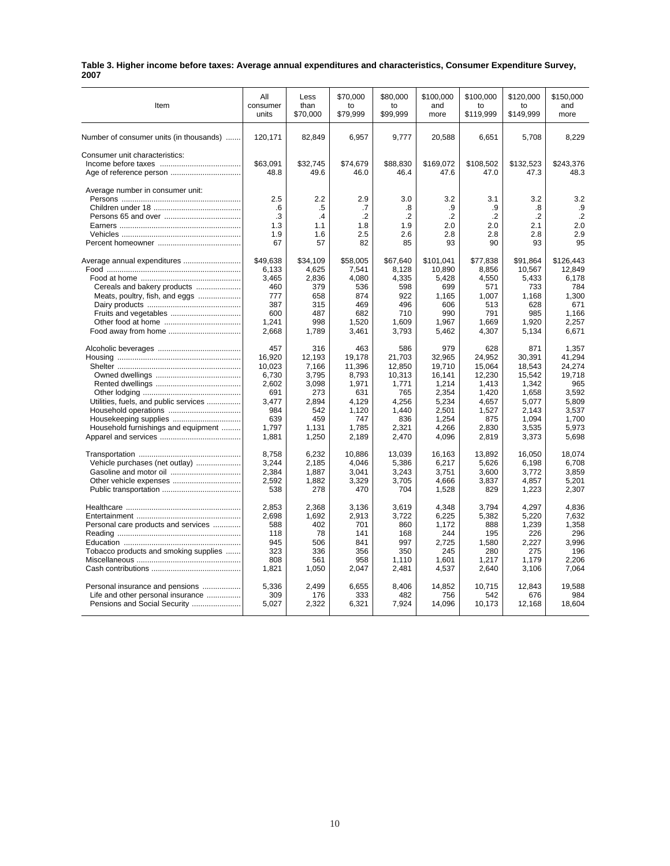| Table 3. Higher income before taxes: Average annual expenditures and characteristics, Consumer Expenditure Survey, |  |
|--------------------------------------------------------------------------------------------------------------------|--|
| 2007                                                                                                               |  |

|                                         | All            | Less           | \$70.000        | \$80,000        | \$100.000       | \$100.000       | \$120,000       | \$150.000       |
|-----------------------------------------|----------------|----------------|-----------------|-----------------|-----------------|-----------------|-----------------|-----------------|
| Item                                    | consumer       | than           | to              | to              | and             | to              | to              | and             |
|                                         | units          | \$70,000       | \$79,999        | \$99.999        | more            | \$119,999       | \$149,999       | more            |
|                                         |                |                |                 |                 |                 |                 |                 |                 |
| Number of consumer units (in thousands) | 120,171        | 82,849         | 6,957           | 9,777           | 20,588          | 6,651           | 5,708           | 8,229           |
| Consumer unit characteristics:          |                |                |                 |                 |                 |                 |                 |                 |
|                                         | \$63.091       | \$32.745       | \$74,679        | \$88,830        | \$169,072       | \$108,502       | \$132,523       | \$243,376       |
|                                         | 48.8           | 49.6           | 46.0            | 46.4            | 47.6            | 47.0            | 47.3            | 48.3            |
| Average number in consumer unit:        |                |                |                 |                 |                 |                 |                 |                 |
|                                         | 2.5            | 2.2            | 2.9             | 3.0             | 3.2             | 3.1             | 3.2             | 3.2             |
|                                         | .6             | .5             | .7              | .8              | .9              | .9              | .8              | .9              |
|                                         | .3             | .4             | $\cdot$         | $\cdot$         | $\cdot$         | $\cdot$         | $\cdot$         | $\cdot$ .2      |
|                                         | 1.3            | 1.1            | 1.8             | 1.9             | 2.0             | 2.0             | 2.1             | 2.0             |
|                                         | 1.9            | 1.6            | 2.5             | 2.6             | 2.8             | 2.8             | 2.8             | 2.9             |
|                                         | 67             | 57             | 82              | 85              | 93              | 90              | 93              | 95              |
| Average annual expenditures             | \$49,638       | \$34,109       | \$58,005        | \$67,640        | \$101,041       | \$77,838        | \$91,864        | \$126,443       |
|                                         | 6,133          | 4,625          | 7,541           | 8,128           | 10,890          | 8,856           | 10,567          | 12,849          |
|                                         | 3,465          | 2,836          | 4,080           | 4,335           | 5,428           | 4,550           | 5,433           | 6,178           |
| Cereals and bakery products             | 460            | 379            | 536             | 598             | 699             | 571             | 733             | 784             |
| Meats, poultry, fish, and eggs          | 777            | 658            | 874             | 922             | 1,165           | 1,007           | 1,168           | 1,300           |
|                                         | 387            | 315            | 469             | 496             | 606             | 513             | 628             | 671             |
|                                         | 600            | 487            | 682             | 710             | 990             | 791             | 985             | 1,166           |
|                                         | 1,241          | 998            | 1,520           | 1.609           | 1,967           | 1,669           | 1,920           | 2.257           |
|                                         | 2,668          | 1,789          | 3,461           | 3,793           |                 | 4,307           |                 | 6,671           |
|                                         |                |                |                 |                 | 5,462           |                 | 5,134           |                 |
|                                         | 457            | 316            | 463             | 586             | 979             | 628             | 871             | 1,357           |
|                                         | 16,920         | 12,193         | 19,178          | 21,703          | 32,965          | 24,952          | 30,391          | 41,294          |
|                                         | 10,023         | 7,166          | 11,396          | 12,850          | 19,710          | 15,064          | 18,543          | 24,274          |
|                                         | 6,730          | 3,795          | 8,793           | 10,313          | 16,141          | 12,230          | 15,542          | 19,718          |
|                                         | 2,602          | 3,098          | 1,971           | 1,771           | 1,214           | 1,413           | 1,342           | 965             |
|                                         | 691            | 273            | 631             | 765             | 2,354           | 1,420           | 1,658           | 3.592           |
| Utilities, fuels, and public services   | 3.477          | 2.894          | 4.129           | 4.256           | 5,234           | 4,657           | 5.077           | 5.809           |
|                                         | 984            | 542            | 1,120           | 1,440           | 2,501           | 1,527           | 2,143           | 3,537           |
|                                         | 639            | 459            | 747             | 836             | 1.254           | 875             | 1.094           | 1.700           |
| Household furnishings and equipment     | 1,797          | 1,131          | 1,785           | 2,321           | 4,266           | 2,830           | 3,535           | 5,973           |
|                                         | 1,881          | 1,250          | 2,189           | 2,470           | 4,096           | 2,819           | 3,373           | 5,698           |
|                                         |                |                |                 |                 |                 |                 |                 |                 |
| Vehicle purchases (net outlay)          | 8,758<br>3,244 | 6,232<br>2,185 | 10,886<br>4,046 | 13,039<br>5,386 | 16,163<br>6,217 | 13,892<br>5,626 | 16,050<br>6,198 | 18,074<br>6,708 |
|                                         | 2,384          | 1,887          | 3,041           | 3,243           | 3,751           | 3,600           | 3,772           | 3,859           |
|                                         |                |                |                 |                 |                 |                 |                 |                 |
| Other vehicle expenses                  | 2,592          | 1,882          | 3,329           | 3,705           | 4,666           | 3,837           | 4,857           | 5,201           |
|                                         | 538            | 278            | 470             | 704             | 1,528           | 829             | 1,223           | 2,307           |
|                                         | 2,853          | 2,368          | 3,136           | 3,619           | 4,348           | 3,794           | 4,297           | 4,836           |
|                                         | 2,698          | 1,692          | 2,913           | 3,722           | 6,225           | 5,382           | 5,220           | 7.632           |
| Personal care products and services     | 588            | 402            | 701             | 860             | 1,172           | 888             | 1,239           | 1,358           |
|                                         | 118            | 78             | 141             | 168             | 244             | 195             | 226             | 296             |
|                                         | 945            | 506            | 841             | 997             | 2,725           | 1,580           | 2,227           | 3,996           |
| Tobacco products and smoking supplies   | 323            | 336            | 356             | 350             | 245             | 280             | 275             | 196             |
|                                         | 808            | 561            | 958             | 1,110           | 1,601           | 1,217           | 1,179           | 2,206           |
|                                         | 1,821          | 1,050          | 2,047           | 2,481           | 4,537           | 2,640           | 3,106           | 7,064           |
| Personal insurance and pensions         | 5.336          | 2.499          | 6.655           | 8.406           | 14.852          | 10.715          | 12.843          | 19.588          |
| Life and other personal insurance       | 309            | 176            | 333             | 482             | 756             | 542             | 676             | 984             |
|                                         | 5,027          | 2,322          | 6,321           | 7,924           | 14,096          | 10,173          | 12,168          | 18,604          |
|                                         |                |                |                 |                 |                 |                 |                 |                 |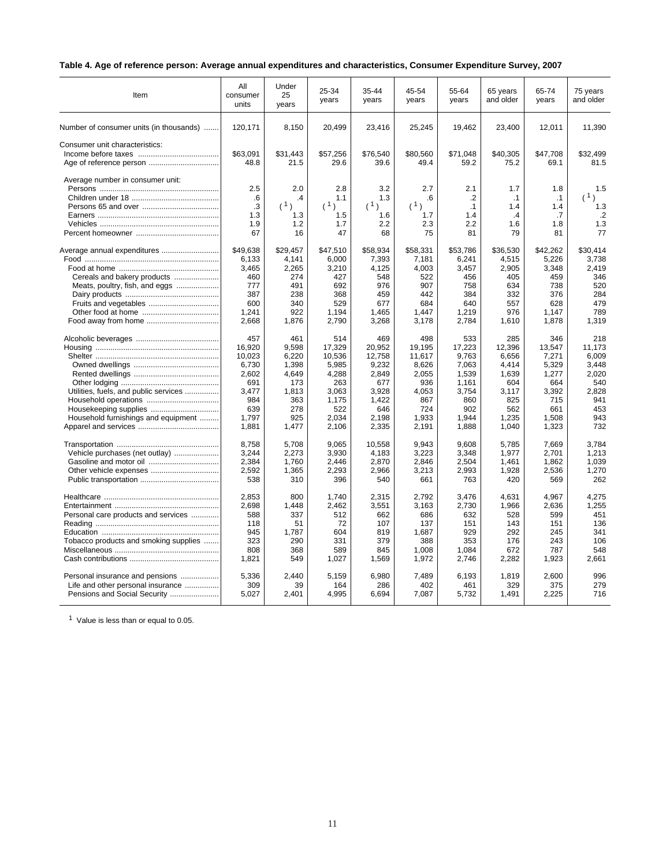### **Table 4. Age of reference person: Average annual expenditures and characteristics, Consumer Expenditure Survey, 2007**

| Item                                    | All<br>consumer<br>units            | Under<br>25<br>years                      | 25-34<br>years                        | 35-44<br>years                        | 45-54<br>years                       | 55-64<br>years                                  | 65 years<br>and older               | 65-74<br>years                      | 75 years<br>and older                     |
|-----------------------------------------|-------------------------------------|-------------------------------------------|---------------------------------------|---------------------------------------|--------------------------------------|-------------------------------------------------|-------------------------------------|-------------------------------------|-------------------------------------------|
| Number of consumer units (in thousands) | 120,171                             | 8,150                                     | 20,499                                | 23,416                                | 25,245                               | 19,462                                          | 23,400                              | 12,011                              | 11,390                                    |
| Consumer unit characteristics:          | \$63.091<br>48.8                    | \$31.443<br>21.5                          | \$57,256<br>29.6                      | \$76,540<br>39.6                      | \$80,560<br>49.4                     | \$71,048<br>59.2                                | \$40,305<br>75.2                    | \$47,708<br>69.1                    | \$32.499<br>81.5                          |
| Average number in consumer unit:        | 2.5<br>.6<br>.3<br>1.3<br>1.9<br>67 | 2.0<br>$\cdot$<br>(1)<br>1.3<br>1.2<br>16 | 2.8<br>1.1<br>(1)<br>1.5<br>1.7<br>47 | 3.2<br>1.3<br>(1)<br>1.6<br>2.2<br>68 | 2.7<br>.6<br>(1)<br>1.7<br>2.3<br>75 | 2.1<br>$\cdot$<br>$\cdot$ 1<br>1.4<br>2.2<br>81 | 1.7<br>.1<br>1.4<br>.4<br>1.6<br>79 | 1.8<br>.1<br>1.4<br>.7<br>1.8<br>81 | 1.5<br>(1)<br>1.3<br>$\cdot$<br>1.3<br>77 |
| Average annual expenditures             | \$49.638                            | \$29.457                                  | \$47.510                              | \$58.934                              | \$58.331                             | \$53.786                                        | \$36.530                            | \$42.262                            | \$30.414                                  |
|                                         | 6,133                               | 4,141                                     | 6,000                                 | 7,393                                 | 7,181                                | 6,241                                           | 4,515                               | 5,226                               | 3,738                                     |
|                                         | 3,465                               | 2,265                                     | 3,210                                 | 4,125                                 | 4,003                                | 3,457                                           | 2,905                               | 3,348                               | 2,419                                     |
| Cereals and bakery products             | 460                                 | 274                                       | 427                                   | 548                                   | 522                                  | 456                                             | 405                                 | 459                                 | 346                                       |
| Meats, poultry, fish, and eggs          | 777                                 | 491                                       | 692                                   | 976                                   | 907                                  | 758                                             | 634                                 | 738                                 | 520                                       |
|                                         | 387                                 | 238                                       | 368                                   | 459                                   | 442                                  | 384                                             | 332                                 | 376                                 | 284                                       |
|                                         | 600                                 | 340                                       | 529                                   | 677                                   | 684                                  | 640                                             | 557                                 | 628                                 | 479                                       |
|                                         | 1,241                               | 922                                       | 1,194                                 | 1.465                                 | 1.447                                | 1,219                                           | 976                                 | 1.147                               | 789                                       |
|                                         | 2,668                               | 1,876                                     | 2,790                                 | 3,268                                 | 3,178                                | 2,784                                           | 1,610                               | 1,878                               | 1.319                                     |
|                                         | 457                                 | 461                                       | 514                                   | 469                                   | 498                                  | 533                                             | 285                                 | 346                                 | 218                                       |
|                                         | 16,920                              | 9,598                                     | 17,329                                | 20,952                                | 19,195                               | 17,223                                          | 12,396                              | 13,547                              | 11.173                                    |
|                                         | 10.023                              | 6.220                                     | 10.536                                | 12.758                                | 11.617                               | 9.763                                           | 6.656                               | 7,271                               | 6.009                                     |
|                                         | 6,730                               | 1,398                                     | 5,985                                 | 9,232                                 | 8,626                                | 7,063                                           | 4.414                               | 5,329                               | 3.448                                     |
|                                         | 2.602                               | 4.649                                     | 4.288                                 | 2.849                                 | 2.055                                | 1.539                                           | 1.639                               | 1,277                               | 2.020                                     |
|                                         | 691                                 | 173                                       | 263                                   | 677                                   | 936                                  | 1,161                                           | 604                                 | 664                                 | 540                                       |
| Utilities, fuels, and public services   | 3,477                               | 1,813                                     | 3,063                                 | 3,928                                 | 4,053                                | 3,754                                           | 3,117                               | 3,392                               | 2,828                                     |
|                                         | 984                                 | 363                                       | 1,175                                 | 1.422                                 | 867                                  | 860                                             | 825                                 | 715                                 | 941                                       |
|                                         | 639                                 | 278                                       | 522                                   | 646                                   | 724                                  | 902                                             | 562                                 | 661                                 | 453                                       |
| Household furnishings and equipment     | 1.797                               | 925                                       | 2.034                                 | 2.198                                 | 1.933                                | 1.944                                           | 1,235                               | 1.508                               | 943                                       |
|                                         | 1,881                               | 1,477                                     | 2,106                                 | 2,335                                 | 2,191                                | 1,888                                           | 1,040                               | 1,323                               | 732                                       |
|                                         | 8,758                               | 5,708                                     | 9,065                                 | 10,558                                | 9,943                                | 9,608                                           | 5,785                               | 7,669                               | 3.784                                     |
| Vehicle purchases (net outlay)          | 3,244                               | 2,273                                     | 3,930                                 | 4,183                                 | 3,223                                | 3,348                                           | 1,977                               | 2,701                               | 1,213                                     |
|                                         | 2,384                               | 1.760                                     | 2.446                                 | 2.870                                 | 2.846                                | 2,504                                           | 1.461                               | 1,862                               | 1.039                                     |
|                                         | 2,592                               | 1,365                                     | 2,293                                 | 2,966                                 | 3,213                                | 2,993                                           | 1,928                               | 2,536                               | 1,270                                     |
|                                         | 538                                 | 310                                       | 396                                   | 540                                   | 661                                  | 763                                             | 420                                 | 569                                 | 262                                       |
|                                         | 2,853                               | 800                                       | 1,740                                 | 2,315                                 | 2,792                                | 3,476                                           | 4,631                               | 4,967                               | 4,275                                     |
|                                         | 2,698                               | 1,448                                     | 2,462                                 | 3,551                                 | 3,163                                | 2,730                                           | 1,966                               | 2,636                               | 1,255                                     |
| Personal care products and services     | 588                                 | 337                                       | 512                                   | 662                                   | 686                                  | 632                                             | 528                                 | 599                                 | 451                                       |
|                                         | 118                                 | 51                                        | 72                                    | 107                                   | 137                                  | 151                                             | 143                                 | 151                                 | 136                                       |
|                                         | 945                                 | 1,787                                     | 604                                   | 819                                   | 1,687                                | 929                                             | 292                                 | 245                                 | 341                                       |
| Tobacco products and smoking supplies   | 323                                 | 290                                       | 331                                   | 379                                   | 388                                  | 353                                             | 176                                 | 243                                 | 106                                       |
|                                         | 808                                 | 368                                       | 589                                   | 845                                   | 1,008                                | 1,084                                           | 672                                 | 787                                 | 548                                       |
|                                         | 1,821                               | 549                                       | 1,027                                 | 1,569                                 | 1,972                                | 2,746                                           | 2,282                               | 1,923                               | 2,661                                     |
| Personal insurance and pensions         | 5,336                               | 2.440                                     | 5,159                                 | 6,980                                 | 7,489                                | 6,193                                           | 1,819                               | 2,600                               | 996                                       |
| Life and other personal insurance       | 309                                 | 39                                        | 164                                   | 286                                   | 402                                  | 461                                             | 329                                 | 375                                 | 279                                       |
| Pensions and Social Security            | 5,027                               | 2,401                                     | 4,995                                 | 6,694                                 | 7,087                                | 5,732                                           | 1,491                               | 2,225                               | 716                                       |

<sup>1</sup> Value is less than or equal to 0.05.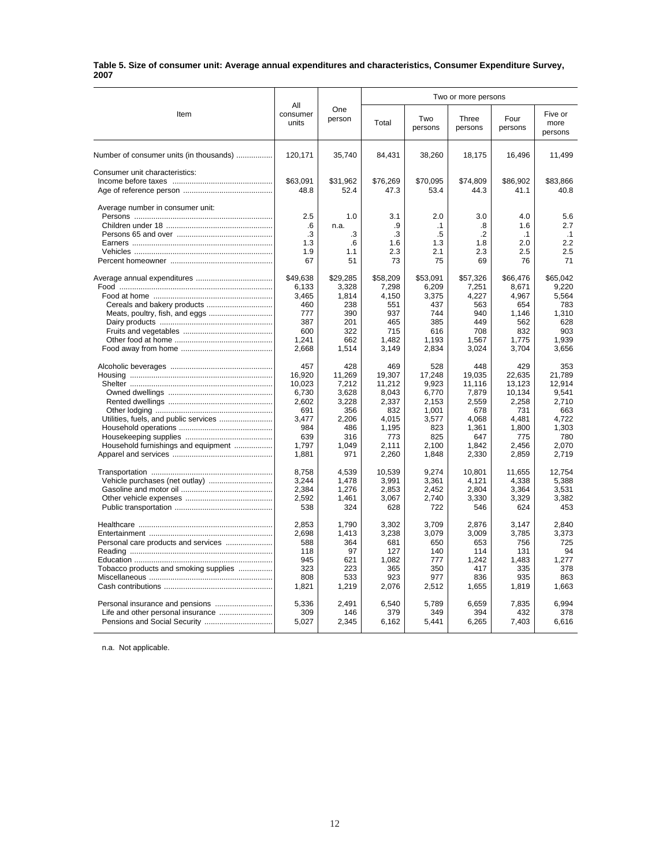#### **Table 5. Size of consumer unit: Average annual expenditures and characteristics, Consumer Expenditure Survey, 2007**

|                                         |                          |               |              |                | Two or more persons |                 |                            |
|-----------------------------------------|--------------------------|---------------|--------------|----------------|---------------------|-----------------|----------------------------|
| Item                                    | All<br>consumer<br>units | One<br>person | Total        | Two<br>persons | Three<br>persons    | Four<br>persons | Five or<br>more<br>persons |
| Number of consumer units (in thousands) | 120,171                  | 35,740        | 84,431       | 38,260         | 18,175              | 16,496          | 11,499                     |
| Consumer unit characteristics:          |                          |               |              |                |                     |                 |                            |
|                                         | \$63,091                 | \$31,962      | \$76,269     | \$70,095       | \$74,809            | \$86,902        | \$83,866                   |
|                                         | 48.8                     | 52.4          | 47.3         | 53.4           | 44.3                | 41.1            | 40.8                       |
| Average number in consumer unit:        |                          |               |              |                |                     |                 |                            |
|                                         | 2.5                      | 1.0           | 3.1          | 2.0            | 3.0                 | 4.0             | 5.6                        |
|                                         | .6                       | n.a.          | .9           | $\cdot$ 1      | .8                  | 1.6             | 2.7                        |
|                                         | .3                       | .3            | .3           | .5             | .2                  | $\cdot$ 1       | $\cdot$ 1                  |
|                                         | 1.3                      | .6            | 1.6          | 1.3            | 1.8                 | 2.0             | 2.2                        |
|                                         | 1.9                      | 1.1           | 2.3          | 2.1            | 2.3                 | 2.5             | 2.5                        |
|                                         | 67                       | 51            | 73           | 75             | 69                  | 76              | 71                         |
|                                         | \$49,638                 | \$29,285      | \$58,209     | \$53,091       | \$57,326            | \$66,476        | \$65,042                   |
|                                         | 6,133                    | 3,328         | 7,298        | 6,209          | 7,251               | 8,671           | 9.220                      |
|                                         | 3.465                    | 1.814         | 4.150        | 3.375          | 4.227               | 4.967           | 5.564                      |
|                                         | 460                      | 238           | 551          | 437            | 563                 | 654             | 783                        |
| Meats, poultry, fish, and eggs          | 777                      | 390           | 937          | 744            | 940                 | 1,146           | 1,310                      |
|                                         | 387                      | 201           | 465          | 385            | 449                 | 562             | 628                        |
|                                         | 600                      | 322           | 715          | 616            | 708                 | 832             | 903                        |
|                                         | 1.241                    | 662           | 1,482        | 1,193          | 1,567               | 1,775           | 1.939                      |
|                                         | 2,668                    | 1,514         | 3,149        | 2,834          | 3,024               | 3,704           | 3,656                      |
|                                         | 457                      | 428           | 469          | 528            | 448                 | 429             | 353                        |
|                                         | 16,920                   | 11,269        | 19,307       | 17,248         | 19,035              | 22,635          | 21,789                     |
|                                         | 10,023                   | 7,212         | 11,212       | 9.923          | 11.116              | 13,123          | 12.914                     |
|                                         | 6.730                    | 3,628         | 8,043        | 6.770          | 7,879               | 10,134          | 9.541                      |
|                                         | 2,602                    | 3,228         | 2,337        | 2,153          | 2,559               | 2,258           | 2.710                      |
|                                         | 691                      | 356           | 832          | 1,001          | 678                 | 731             | 663                        |
|                                         | 3.477                    | 2,206         | 4,015        | 3,577          | 4,068               | 4,481           | 4,722                      |
|                                         | 984<br>639               | 486<br>316    | 1,195<br>773 | 823<br>825     | 1,361<br>647        | 1,800<br>775    | 1,303<br>780               |
| Household furnishings and equipment     | 1,797                    | 1,049         | 2,111        | 2,100          | 1,842               | 2,456           | 2,070                      |
|                                         | 1,881                    | 971           | 2,260        | 1,848          | 2,330               | 2,859           | 2,719                      |
|                                         |                          |               |              |                |                     |                 |                            |
|                                         | 8,758                    | 4,539         | 10,539       | 9,274          | 10,801              | 11,655          | 12,754                     |
| Vehicle purchases (net outlay)          | 3,244                    | 1,478         | 3,991        | 3,361          | 4,121               | 4,338           | 5,388                      |
|                                         | 2,384                    | 1.276         | 2,853        | 2.452          | 2.804               | 3,364           | 3.531                      |
|                                         | 2,592                    | 1,461         | 3,067        | 2,740          | 3,330               | 3,329           | 3.382                      |
|                                         | 538                      | 324           | 628          | 722            | 546                 | 624             | 453                        |
|                                         | 2,853                    | 1,790         | 3,302        | 3,709          | 2,876               | 3,147           | 2,840                      |
|                                         | 2,698                    | 1.413         | 3,238        | 3.079          | 3.009               | 3,785           | 3.373                      |
|                                         | 588                      | 364           | 681          | 650            | 653                 | 756             | 725                        |
|                                         | 118                      | 97            | 127          | 140            | 114                 | 131             | 94                         |
|                                         | 945                      | 621           | 1,082        | 777            | 1,242               | 1,483           | 1,277                      |
| Tobacco products and smoking supplies   | 323                      | 223           | 365          | 350            | 417                 | 335             | 378                        |
|                                         | 808                      | 533           | 923          | 977            | 836                 | 935             | 863                        |
|                                         | 1,821                    | 1,219         | 2,076        | 2,512          | 1,655               | 1,819           | 1,663                      |
|                                         | 5,336                    | 2,491         | 6,540        | 5,789          | 6,659               | 7,835           | 6,994                      |
|                                         | 309                      | 146           | 379          | 349            | 394                 | 432             | 378                        |
|                                         | 5,027                    | 2,345         | 6,162        | 5,441          | 6,265               | 7,403           | 6,616                      |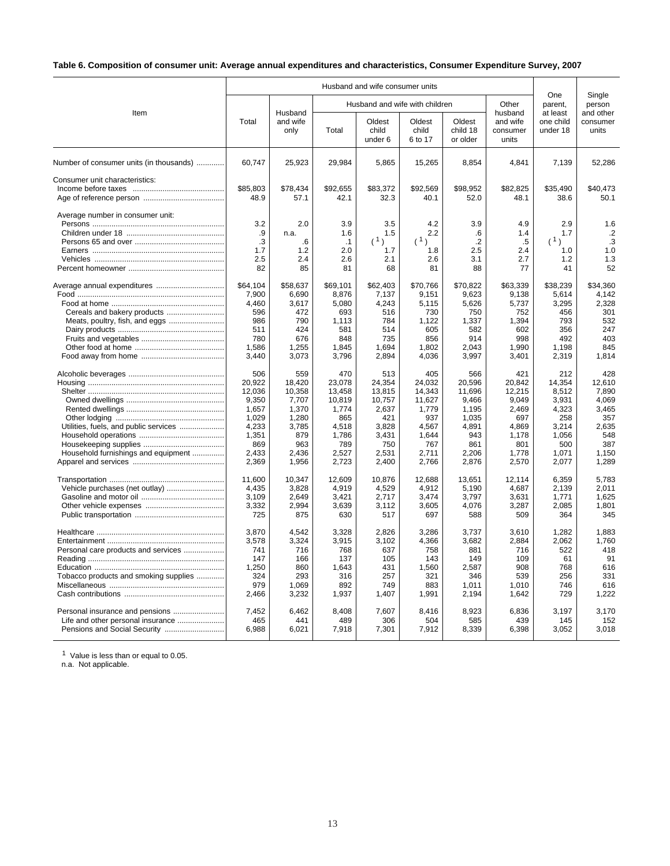### **Table 6. Composition of consumer unit: Average annual expenditures and characteristics, Consumer Expenditure Survey, 2007**

|                                                                                                      |                                                                                               |                                                                                             |                                                                                              | Husband and wife consumer units                                                              |                                                                                              |                                                                                             |                                                                                             |                                                                                            |                                                                                          |
|------------------------------------------------------------------------------------------------------|-----------------------------------------------------------------------------------------------|---------------------------------------------------------------------------------------------|----------------------------------------------------------------------------------------------|----------------------------------------------------------------------------------------------|----------------------------------------------------------------------------------------------|---------------------------------------------------------------------------------------------|---------------------------------------------------------------------------------------------|--------------------------------------------------------------------------------------------|------------------------------------------------------------------------------------------|
| Item                                                                                                 |                                                                                               | Husband                                                                                     |                                                                                              |                                                                                              | Husband and wife with children                                                               |                                                                                             | Other<br>husband                                                                            | One<br>parent,<br>at least                                                                 | Single<br>person<br>and other                                                            |
|                                                                                                      | Total                                                                                         | and wife<br>only                                                                            | Total                                                                                        | Oldest<br>child<br>under 6                                                                   | Oldest<br>child<br>6 to 17                                                                   | Oldest<br>child 18<br>or older                                                              | and wife<br>consumer<br>units                                                               | one child<br>under 18                                                                      | consumer<br>units                                                                        |
| Number of consumer units (in thousands)                                                              | 60,747                                                                                        | 25,923                                                                                      | 29,984                                                                                       | 5,865                                                                                        | 15,265                                                                                       | 8,854                                                                                       | 4,841                                                                                       | 7,139                                                                                      | 52,286                                                                                   |
| Consumer unit characteristics:                                                                       | \$85.803<br>48.9                                                                              | \$78.434<br>57.1                                                                            | \$92.655<br>42.1                                                                             | \$83.372<br>32.3                                                                             | \$92.569<br>40.1                                                                             | \$98.952<br>52.0                                                                            | \$82.825<br>48.1                                                                            | \$35.490<br>38.6                                                                           | \$40.473<br>50.1                                                                         |
| Average number in consumer unit:                                                                     | 3.2<br>.9<br>.3<br>1.7<br>2.5<br>82                                                           | 2.0<br>n.a.<br>6<br>1.2<br>2.4<br>85                                                        | 3.9<br>1.6<br>$\cdot$ 1<br>2.0<br>2.6<br>81                                                  | 3.5<br>1.5<br>(1)<br>1.7<br>2.1<br>68                                                        | 4.2<br>2.2<br>(1)<br>1.8<br>2.6<br>81                                                        | 3.9<br>.6<br>$\cdot$<br>2.5<br>3.1<br>88                                                    | 4.9<br>1.4<br>.5<br>2.4<br>2.7<br>77                                                        | 2.9<br>1.7<br>(1)<br>1.0<br>1.2<br>41                                                      | 1.6<br>$\cdot$<br>.3<br>1.0<br>1.3<br>52                                                 |
|                                                                                                      | \$64,104<br>7,900<br>4,460<br>596<br>986<br>511<br>780<br>1,586<br>3,440                      | \$58,637<br>6,690<br>3,617<br>472<br>790<br>424<br>676<br>1,255<br>3,073                    | \$69,101<br>8,876<br>5,080<br>693<br>1,113<br>581<br>848<br>1,845<br>3,796                   | \$62,403<br>7,137<br>4,243<br>516<br>784<br>514<br>735<br>1,694<br>2,894                     | \$70,766<br>9,151<br>5,115<br>730<br>1,122<br>605<br>856<br>1,802<br>4,036                   | \$70,822<br>9,623<br>5,626<br>750<br>1,337<br>582<br>914<br>2,043<br>3,997                  | \$63,339<br>9,138<br>5,737<br>752<br>1,394<br>602<br>998<br>1,990<br>3,401                  | \$38,239<br>5,614<br>3,295<br>456<br>793<br>356<br>492<br>1,198<br>2,319                   | \$34,360<br>4,142<br>2,328<br>301<br>532<br>247<br>403<br>845<br>1,814                   |
| Utilities, fuels, and public services<br>Household furnishings and equipment                         | 506<br>20.922<br>12,036<br>9,350<br>1,657<br>1,029<br>4,233<br>1,351<br>869<br>2,433<br>2,369 | 559<br>18,420<br>10,358<br>7,707<br>1,370<br>1,280<br>3,785<br>879<br>963<br>2.436<br>1,956 | 470<br>23,078<br>13,458<br>10,819<br>1,774<br>865<br>4,518<br>1,786<br>789<br>2.527<br>2,723 | 513<br>24,354<br>13,815<br>10,757<br>2,637<br>421<br>3,828<br>3.431<br>750<br>2,531<br>2,400 | 405<br>24.032<br>14,343<br>11,627<br>1,779<br>937<br>4,567<br>1.644<br>767<br>2,711<br>2,766 | 566<br>20,596<br>11,696<br>9.466<br>1,195<br>1,035<br>4,891<br>943<br>861<br>2,206<br>2,876 | 421<br>20,842<br>12,215<br>9,049<br>2,469<br>697<br>4,869<br>1.178<br>801<br>1,778<br>2,570 | 212<br>14.354<br>8,512<br>3,931<br>4,323<br>258<br>3,214<br>1.056<br>500<br>1.071<br>2,077 | 428<br>12.610<br>7,890<br>4.069<br>3,465<br>357<br>2,635<br>548<br>387<br>1.150<br>1,289 |
|                                                                                                      | 11,600<br>4,435<br>3,109<br>3,332<br>725                                                      | 10,347<br>3,828<br>2,649<br>2,994<br>875                                                    | 12,609<br>4,919<br>3,421<br>3,639<br>630                                                     | 10,876<br>4,529<br>2,717<br>3,112<br>517                                                     | 12,688<br>4,912<br>3,474<br>3,605<br>697                                                     | 13,651<br>5,190<br>3,797<br>4,076<br>588                                                    | 12,114<br>4.687<br>3,631<br>3,287<br>509                                                    | 6,359<br>2,139<br>1,771<br>2,085<br>364                                                    | 5,783<br>2.011<br>1,625<br>1,801<br>345                                                  |
| Personal care products and services<br>Tobacco products and smoking supplies                         | 3,870<br>3,578<br>741<br>147<br>1,250<br>324<br>979<br>2,466                                  | 4,542<br>3,324<br>716<br>166<br>860<br>293<br>1,069<br>3,232                                | 3,328<br>3,915<br>768<br>137<br>1,643<br>316<br>892<br>1,937                                 | 2,826<br>3,102<br>637<br>105<br>431<br>257<br>749<br>1,407                                   | 3,286<br>4,366<br>758<br>143<br>1,560<br>321<br>883<br>1,991                                 | 3,737<br>3,682<br>881<br>149<br>2,587<br>346<br>1,011<br>2,194                              | 3,610<br>2,884<br>716<br>109<br>908<br>539<br>1,010<br>1,642                                | 1,282<br>2,062<br>522<br>61<br>768<br>256<br>746<br>729                                    | 1.883<br>1,760<br>418<br>91<br>616<br>331<br>616<br>1,222                                |
| Personal insurance and pensions<br>Life and other personal insurance<br>Pensions and Social Security | 7,452<br>465<br>6,988                                                                         | 6.462<br>441<br>6,021                                                                       | 8,408<br>489<br>7,918                                                                        | 7,607<br>306<br>7,301                                                                        | 8,416<br>504<br>7,912                                                                        | 8,923<br>585<br>8,339                                                                       | 6,836<br>439<br>6,398                                                                       | 3,197<br>145<br>3,052                                                                      | 3.170<br>152<br>3,018                                                                    |

<sup>1</sup> Value is less than or equal to 0.05.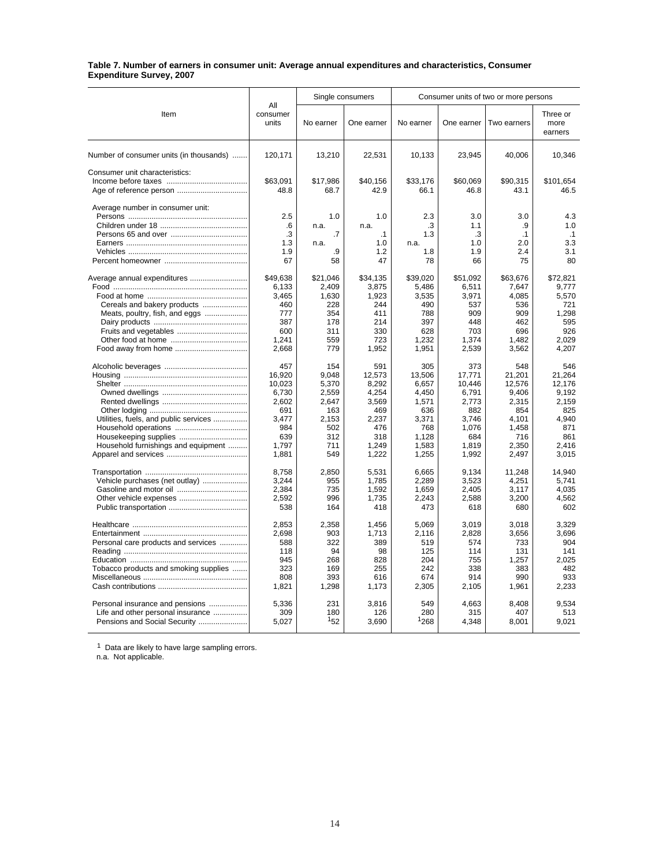#### **Table 7. Number of earners in consumer unit: Average annual expenditures and characteristics, Consumer Expenditure Survey, 2007**

|                                         |                          |                | Single consumers | Consumer units of two or more persons |                 |                 |                             |  |
|-----------------------------------------|--------------------------|----------------|------------------|---------------------------------------|-----------------|-----------------|-----------------------------|--|
| Item                                    | All<br>consumer<br>units | No earner      | One earner       | No earner                             | One earner      | Two earners     | Three or<br>more<br>earners |  |
| Number of consumer units (in thousands) | 120,171                  | 13,210         | 22,531           | 10,133                                | 23,945          | 40,006          | 10,346                      |  |
| Consumer unit characteristics:          |                          |                |                  |                                       |                 |                 |                             |  |
|                                         | \$63,091                 | \$17,986       | \$40,156         | \$33,176                              | \$60,069        | \$90,315        | \$101,654                   |  |
|                                         | 48.8                     | 68.7           | 42.9             | 66.1                                  | 46.8            | 43.1            | 46.5                        |  |
| Average number in consumer unit:        |                          |                |                  |                                       |                 |                 |                             |  |
|                                         | 2.5                      | 1.0            | 1.0              | 2.3                                   | 3.0             | 3.0             | 4.3                         |  |
|                                         | .6                       | n.a.           | n.a.             | .3                                    | 1.1             | .9              | 1.0                         |  |
|                                         | .3                       | $\cdot$        | $\cdot$ 1        | 1.3                                   | .3              | $\cdot$ 1       | .1                          |  |
|                                         | 1.3                      | n.a.           | 1.0              | n.a.                                  | 1.0             | 2.0             | 3.3                         |  |
|                                         | 1.9                      | .9             | 1.2              | 1.8                                   | 1.9             | 2.4             | 3.1                         |  |
|                                         | 67                       | 58             | 47               | 78                                    | 66              | 75              | 80                          |  |
| Average annual expenditures             | \$49,638                 | \$21,046       | \$34,135         | \$39,020                              | \$51,092        | \$63,676        | \$72,821                    |  |
|                                         | 6,133                    | 2,409          | 3,875            | 5,486                                 | 6,511           | 7,647           | 9,777                       |  |
|                                         | 3,465                    | 1,630          | 1,923            | 3,535                                 | 3,971           | 4,085           | 5,570                       |  |
| Cereals and bakery products             | 460                      | 228            | 244              | 490                                   | 537             | 536             | 721                         |  |
| Meats, poultry, fish, and eggs          | 777                      | 354            | 411              | 788                                   | 909             | 909             | 1.298                       |  |
|                                         | 387                      | 178            | 214              | 397                                   | 448             | 462             | 595                         |  |
|                                         | 600<br>1,241             | 311<br>559     | 330<br>723       | 628                                   | 703<br>1,374    | 696<br>1,482    | 926<br>2,029                |  |
|                                         | 2.668                    | 779            | 1,952            | 1,232<br>1,951                        | 2,539           | 3,562           | 4,207                       |  |
|                                         |                          |                |                  |                                       |                 |                 |                             |  |
|                                         | 457                      | 154            | 591              | 305                                   | 373             | 548             | 546                         |  |
|                                         | 16,920                   | 9,048          | 12,573           | 13,506                                | 17,771          | 21,201          | 21,264                      |  |
|                                         | 10,023<br>6,730          | 5,370<br>2,559 | 8,292<br>4,254   | 6,657<br>4,450                        | 10,446<br>6,791 | 12,576<br>9,406 | 12.176<br>9.192             |  |
|                                         | 2.602                    | 2.647          | 3.569            | 1.571                                 | 2.773           | 2.315           | 2.159                       |  |
|                                         | 691                      | 163            | 469              | 636                                   | 882             | 854             | 825                         |  |
| Utilities, fuels, and public services   | 3.477                    | 2,153          | 2,237            | 3,371                                 | 3,746           | 4,101           | 4,940                       |  |
|                                         | 984                      | 502            | 476              | 768                                   | 1,076           | 1,458           | 871                         |  |
|                                         | 639                      | 312            | 318              | 1,128                                 | 684             | 716             | 861                         |  |
| Household furnishings and equipment     | 1,797                    | 711            | 1,249            | 1,583                                 | 1,819           | 2,350           | 2,416                       |  |
|                                         | 1,881                    | 549            | 1,222            | 1,255                                 | 1,992           | 2,497           | 3,015                       |  |
|                                         | 8,758                    | 2,850          | 5,531            | 6,665                                 | 9,134           | 11,248          | 14.940                      |  |
| Vehicle purchases (net outlay)          | 3,244                    | 955            | 1,785            | 2,289                                 | 3,523           | 4,251           | 5,741                       |  |
| Gasoline and motor oil                  | 2,384                    | 735            | 1,592            | 1,659                                 | 2,405           | 3,117           | 4,035                       |  |
|                                         | 2,592                    | 996            | 1,735            | 2,243                                 | 2.588           | 3,200           | 4,562                       |  |
|                                         | 538                      | 164            | 418              | 473                                   | 618             | 680             | 602                         |  |
|                                         | 2,853                    | 2,358          | 1,456            | 5,069                                 | 3,019           | 3,018           | 3,329                       |  |
|                                         | 2,698                    | 903            | 1,713            | 2,116                                 | 2,828           | 3,656           | 3.696                       |  |
| Personal care products and services     | 588                      | 322            | 389              | 519                                   | 574             | 733             | 904                         |  |
|                                         | 118                      | 94             | 98               | 125                                   | 114             | 131             | 141                         |  |
|                                         | 945                      | 268            | 828              | 204                                   | 755             | 1,257           | 2,025                       |  |
| Tobacco products and smoking supplies   | 323                      | 169            | 255              | 242                                   | 338             | 383             | 482                         |  |
|                                         | 808                      | 393            | 616              | 674                                   | 914             | 990             | 933                         |  |
|                                         | 1,821                    | 1,298          | 1,173            | 2,305                                 | 2,105           | 1,961           | 2,233                       |  |
| Personal insurance and pensions         | 5,336                    | 231            | 3,816            | 549                                   | 4,663           | 8,408           | 9,534                       |  |
| Life and other personal insurance       | 309                      | 180            | 126              | 280                                   | 315             | 407             | 513                         |  |
| Pensions and Social Security            | 5,027                    | 152            | 3,690            | 1268                                  | 4,348           | 8,001           | 9,021                       |  |

 $1$  Data are likely to have large sampling errors.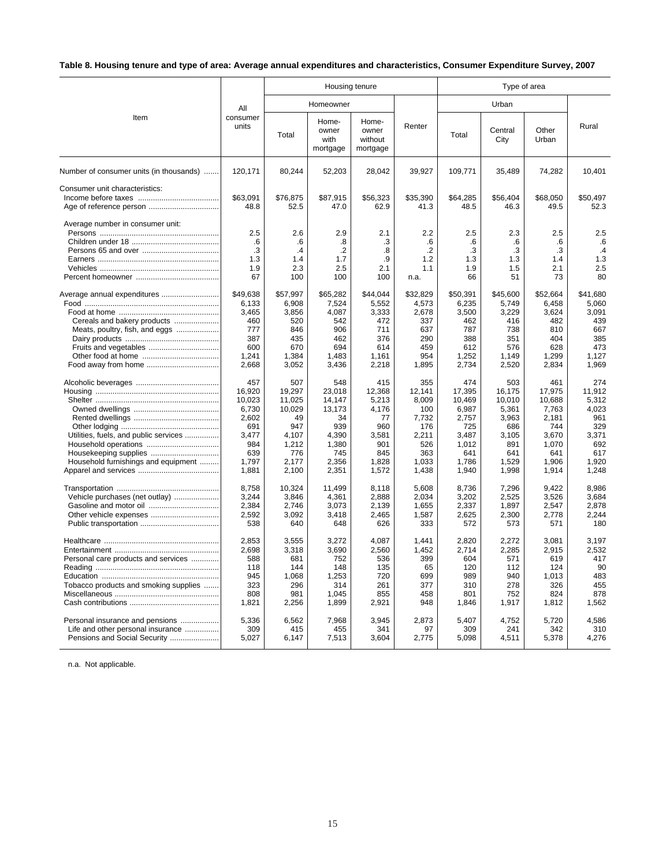# **Table 8. Housing tenure and type of area: Average annual expenditures and characteristics, Consumer Expenditure Survey, 2007**

|                                                                                                                     |                                                                                           | Housing tenure                                                                            |                                                                                           |                                                                                       |                                                                                        |                                                                                             |                                                                                           | Type of area                                                                                |                                                                                        |  |  |
|---------------------------------------------------------------------------------------------------------------------|-------------------------------------------------------------------------------------------|-------------------------------------------------------------------------------------------|-------------------------------------------------------------------------------------------|---------------------------------------------------------------------------------------|----------------------------------------------------------------------------------------|---------------------------------------------------------------------------------------------|-------------------------------------------------------------------------------------------|---------------------------------------------------------------------------------------------|----------------------------------------------------------------------------------------|--|--|
|                                                                                                                     | All                                                                                       |                                                                                           | Homeowner                                                                                 |                                                                                       |                                                                                        |                                                                                             | Urban                                                                                     |                                                                                             |                                                                                        |  |  |
| Item                                                                                                                | consumer<br>units                                                                         | Total                                                                                     | Home-<br>owner<br>with<br>mortgage                                                        | Home-<br>owner<br>without<br>mortgage                                                 | Renter                                                                                 | Total                                                                                       | Central<br>City                                                                           | Other<br>Urban                                                                              | Rural                                                                                  |  |  |
| Number of consumer units (in thousands)                                                                             | 120,171                                                                                   | 80,244                                                                                    | 52,203                                                                                    | 28,042                                                                                | 39,927                                                                                 | 109,771                                                                                     | 35,489                                                                                    | 74,282                                                                                      | 10,401                                                                                 |  |  |
| Consumer unit characteristics:                                                                                      | \$63.091<br>48.8                                                                          | \$76,875<br>52.5                                                                          | \$87,915<br>47.0                                                                          | \$56,323<br>62.9                                                                      | \$35,390<br>41.3                                                                       | \$64,285<br>48.5                                                                            | \$56,404<br>46.3                                                                          | \$68,050<br>49.5                                                                            | \$50.497<br>52.3                                                                       |  |  |
| Average number in consumer unit:                                                                                    | 2.5<br>.6<br>.3<br>1.3<br>1.9<br>67                                                       | 2.6<br>.6<br>$\cdot$<br>1.4<br>2.3<br>100                                                 | 2.9<br>.8<br>$\cdot$<br>1.7<br>2.5<br>100                                                 | 2.1<br>.3<br>.8<br>.9<br>2.1<br>100                                                   | 2.2<br>.6<br>$\overline{2}$<br>1.2<br>1.1<br>n.a.                                      | 2.5<br>.6<br>.3<br>1.3<br>1.9<br>66                                                         | 2.3<br>.6<br>.3<br>1.3<br>1.5<br>51                                                       | 2.5<br>.6<br>.3<br>1.4<br>2.1<br>73                                                         | 2.5<br>.6<br>.4<br>1.3<br>2.5<br>80                                                    |  |  |
| Average annual expenditures<br>Cereals and bakery products<br>Meats, poultry, fish, and eggs<br>Food away from home | \$49,638<br>6,133<br>3,465<br>460<br>777<br>387<br>600<br>1,241<br>2,668                  | \$57,997<br>6.908<br>3,856<br>520<br>846<br>435<br>670<br>1,384<br>3,052                  | \$65,282<br>7,524<br>4,087<br>542<br>906<br>462<br>694<br>1,483<br>3,436                  | \$44,044<br>5.552<br>3,333<br>472<br>711<br>376<br>614<br>1,161<br>2,218              | \$32,829<br>4.573<br>2,678<br>337<br>637<br>290<br>459<br>954<br>1,895                 | \$50,391<br>6.235<br>3,500<br>462<br>787<br>388<br>612<br>1,252<br>2,734                    | \$45,600<br>5,749<br>3,229<br>416<br>738<br>351<br>576<br>1,149<br>2,520                  | \$52,664<br>6.458<br>3,624<br>482<br>810<br>404<br>628<br>1,299<br>2,834                    | \$41.680<br>5.060<br>3,091<br>439<br>667<br>385<br>473<br>1,127<br>1.969               |  |  |
| Utilities, fuels, and public services<br>Housekeeping supplies<br>Household furnishings and equipment               | 457<br>16,920<br>10.023<br>6,730<br>2.602<br>691<br>3.477<br>984<br>639<br>1.797<br>1,881 | 507<br>19.297<br>11.025<br>10,029<br>49<br>947<br>4.107<br>1,212<br>776<br>2.177<br>2,100 | 548<br>23.018<br>14.147<br>13,173<br>34<br>939<br>4.390<br>1,380<br>745<br>2,356<br>2,351 | 415<br>12.368<br>5.213<br>4.176<br>77<br>960<br>3.581<br>901<br>845<br>1.828<br>1,572 | 355<br>12.141<br>8.009<br>100<br>7.732<br>176<br>2,211<br>526<br>363<br>1.033<br>1,438 | 474<br>17.395<br>10,469<br>6,987<br>2.757<br>725<br>3.487<br>1,012<br>641<br>1,786<br>1,940 | 503<br>16.175<br>10.010<br>5,361<br>3,963<br>686<br>3,105<br>891<br>641<br>1,529<br>1,998 | 461<br>17,975<br>10.688<br>7,763<br>2.181<br>744<br>3.670<br>1,070<br>641<br>1.906<br>1,914 | 274<br>11.912<br>5.312<br>4,023<br>961<br>329<br>3.371<br>692<br>617<br>1.920<br>1,248 |  |  |
| Vehicle purchases (net outlay)                                                                                      | 8,758<br>3,244<br>2.384<br>2,592<br>538                                                   | 10,324<br>3,846<br>2.746<br>3,092<br>640                                                  | 11.499<br>4,361<br>3.073<br>3,418<br>648                                                  | 8,118<br>2,888<br>2.139<br>2,465<br>626                                               | 5,608<br>2,034<br>1.655<br>1,587<br>333                                                | 8,736<br>3,202<br>2.337<br>2,625<br>572                                                     | 7,296<br>2,525<br>1.897<br>2,300<br>573                                                   | 9.422<br>3,526<br>2.547<br>2,778<br>571                                                     | 8.986<br>3,684<br>2.878<br>2,244<br>180                                                |  |  |
| Personal care products and services<br>Tobacco products and smoking supplies                                        | 2,853<br>2,698<br>588<br>118<br>945<br>323<br>808<br>1,821                                | 3,555<br>3,318<br>681<br>144<br>1,068<br>296<br>981<br>2,256                              | 3,272<br>3,690<br>752<br>148<br>1,253<br>314<br>1,045<br>1,899                            | 4,087<br>2,560<br>536<br>135<br>720<br>261<br>855<br>2,921                            | 1,441<br>1,452<br>399<br>65<br>699<br>377<br>458<br>948                                | 2,820<br>2,714<br>604<br>120<br>989<br>310<br>801<br>1,846                                  | 2,272<br>2,285<br>571<br>112<br>940<br>278<br>752<br>1,917                                | 3,081<br>2,915<br>619<br>124<br>1,013<br>326<br>824<br>1,812                                | 3,197<br>2,532<br>417<br>90<br>483<br>455<br>878<br>1,562                              |  |  |
| Personal insurance and pensions<br>Life and other personal insurance<br>Pensions and Social Security                | 5,336<br>309<br>5,027                                                                     | 6,562<br>415<br>6,147                                                                     | 7,968<br>455<br>7,513                                                                     | 3,945<br>341<br>3,604                                                                 | 2,873<br>97<br>2,775                                                                   | 5,407<br>309<br>5,098                                                                       | 4,752<br>241<br>4,511                                                                     | 5,720<br>342<br>5,378                                                                       | 4,586<br>310<br>4,276                                                                  |  |  |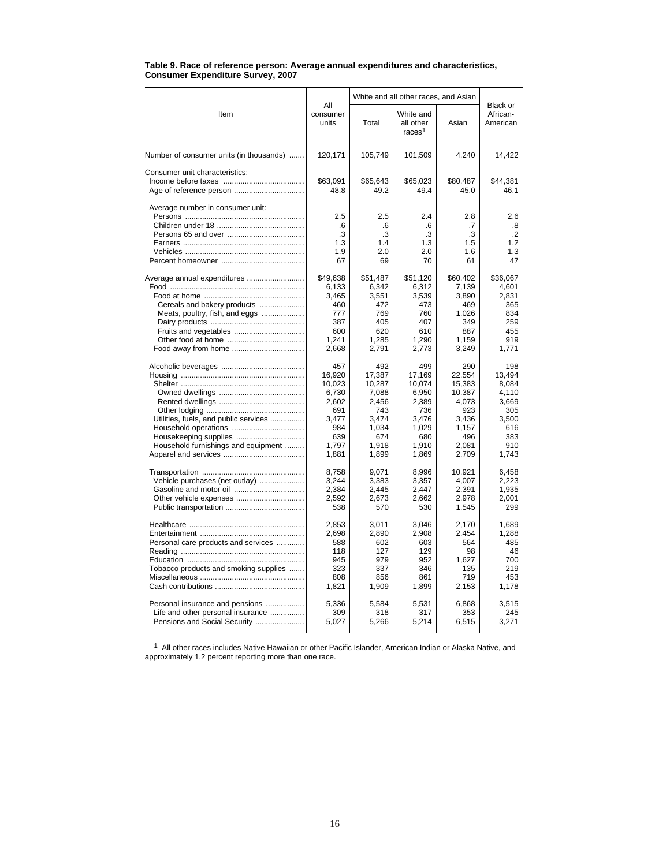|                                          | Table 9. Race of reference person: Average annual expenditures and characteristics, |  |
|------------------------------------------|-------------------------------------------------------------------------------------|--|
| <b>Consumer Expenditure Survey, 2007</b> |                                                                                     |  |

|                                         |                                     | White and all other races, and Asian | Black or                                     |                                     |                                             |  |
|-----------------------------------------|-------------------------------------|--------------------------------------|----------------------------------------------|-------------------------------------|---------------------------------------------|--|
| Item                                    | All<br>consumer<br>units            | Total                                | White and<br>all other<br>races <sup>1</sup> | Asian                               | African-<br>American                        |  |
| Number of consumer units (in thousands) | 120,171                             | 105,749                              | 101,509                                      | 4,240                               | 14,422                                      |  |
| Consumer unit characteristics:          | \$63,091<br>48.8                    | \$65,643<br>49.2                     | \$65,023<br>49.4                             | \$80,487<br>45.0                    | \$44,381<br>46.1                            |  |
| Average number in consumer unit:        | 2.5<br>.6<br>.3<br>1.3<br>1.9<br>67 | 2.5<br>.6<br>.3<br>1.4<br>2.0<br>69  | 2.4<br>.6<br>.3<br>1.3<br>2.0<br>70          | 2.8<br>.7<br>.3<br>1.5<br>1.6<br>61 | 2.6<br>.8<br>$\cdot$ .2<br>1.2<br>1.3<br>47 |  |
| Average annual expenditures             | \$49,638                            | \$51,487                             | \$51,120                                     | \$60,402                            | \$36,067                                    |  |
|                                         | 6,133                               | 6,342                                | 6,312                                        | 7,139                               | 4,601                                       |  |
|                                         | 3,465                               | 3,551                                | 3,539                                        | 3,890                               | 2.831                                       |  |
| Cereals and bakery products             | 460                                 | 472                                  | 473                                          | 469                                 | 365                                         |  |
| Meats, poultry, fish, and eggs          | 777                                 | 769                                  | 760                                          | 1,026                               | 834                                         |  |
|                                         | 387                                 | 405                                  | 407                                          | 349                                 | 259                                         |  |
| Fruits and vegetables                   | 600                                 | 620                                  | 610                                          | 887                                 | 455                                         |  |
|                                         | 1,241                               | 1,285                                | 1,290                                        | 1,159                               | 919                                         |  |
| Food away from home                     | 2,668                               | 2,791                                | 2,773                                        | 3,249                               | 1,771                                       |  |
|                                         | 457                                 | 492                                  | 499                                          | 290                                 | 198                                         |  |
|                                         | 16,920                              | 17,387                               | 17,169                                       | 22,554                              | 13,494                                      |  |
|                                         | 10,023                              | 10,287                               | 10,074                                       | 15,383                              | 8,084                                       |  |
|                                         | 6,730                               | 7,088                                | 6,950                                        | 10,387                              | 4,110                                       |  |
|                                         | 2,602                               | 2,456                                | 2,389                                        | 4,073                               | 3,669                                       |  |
|                                         | 691                                 | 743                                  | 736                                          | 923                                 | 305                                         |  |
| Utilities, fuels, and public services   | 3.477                               | 3.474                                | 3.476                                        | 3.436                               | 3.500                                       |  |
|                                         | 984                                 | 1,034                                | 1,029                                        | 1,157                               | 616                                         |  |
| Housekeeping supplies                   | 639                                 | 674                                  | 680                                          | 496                                 | 383                                         |  |
| Household furnishings and equipment     | 1,797                               | 1,918                                | 1,910                                        | 2,081                               | 910                                         |  |
|                                         | 1,881                               | 1,899                                | 1,869                                        | 2,709                               | 1,743                                       |  |
|                                         | 8,758                               | 9,071                                | 8,996                                        | 10,921                              | 6,458                                       |  |
| Vehicle purchases (net outlay)          | 3.244                               | 3,383                                | 3,357                                        | 4,007                               | 2,223                                       |  |
|                                         | 2,384                               | 2,445                                | 2,447                                        | 2,391                               | 1,935                                       |  |
|                                         | 2,592                               | 2,673                                | 2,662                                        | 2,978                               | 2,001                                       |  |
|                                         | 538                                 | 570                                  | 530                                          | 1,545                               | 299                                         |  |
|                                         | 2,853                               | 3,011                                | 3,046                                        | 2,170                               | 1,689                                       |  |
|                                         | 2,698                               | 2,890                                | 2.908                                        | 2.454                               | 1.288                                       |  |
| Personal care products and services     | 588                                 | 602                                  | 603                                          | 564                                 | 485                                         |  |
|                                         | 118                                 | 127                                  | 129                                          | 98                                  | 46                                          |  |
|                                         | 945                                 | 979                                  | 952                                          | 1,627                               | 700                                         |  |
| Tobacco products and smoking supplies   | 323                                 | 337                                  | 346                                          | 135                                 | 219                                         |  |
|                                         | 808                                 | 856                                  | 861                                          | 719                                 | 453                                         |  |
|                                         | 1,821                               | 1,909                                | 1,899                                        | 2,153                               | 1,178                                       |  |
| Personal insurance and pensions         | 5,336                               | 5,584                                | 5,531                                        | 6,868                               | 3.515                                       |  |
| Life and other personal insurance       | 309                                 | 318                                  | 317                                          | 353                                 | 245                                         |  |
| Pensions and Social Security            | 5,027                               | 5,266                                | 5,214                                        | 6,515                               | 3,271                                       |  |

<sup>1</sup> All other races includes Native Hawaiian or other Pacific Islander, American Indian or Alaska Native, and approximately 1.2 percent reporting more than one race.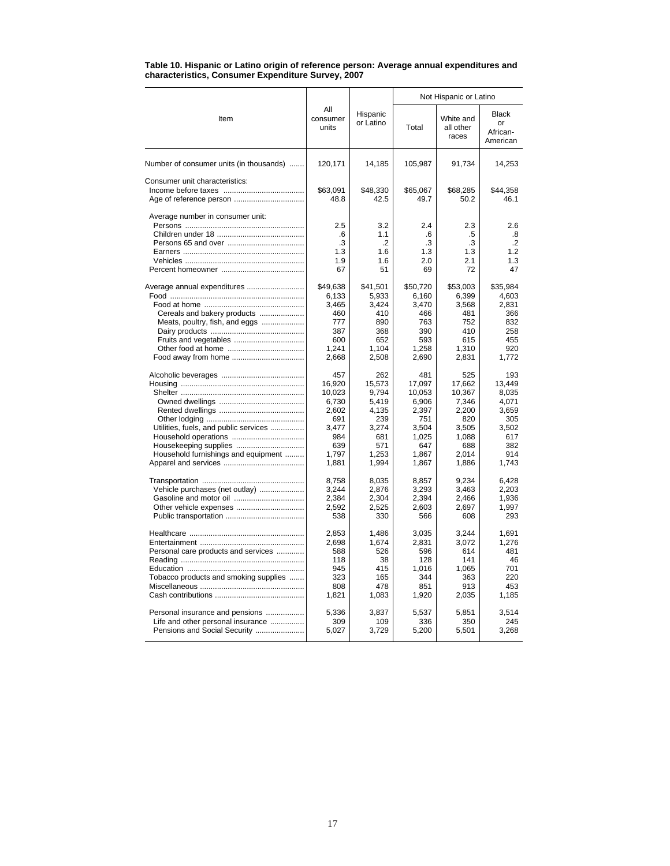| Table 10. Hispanic or Latino origin of reference person: Average annual expenditures and |
|------------------------------------------------------------------------------------------|
| characteristics, Consumer Expenditure Survey, 2007                                       |

|                                         |                                     |                                          | Not Hispanic or Latino              |                                     |                                            |  |  |
|-----------------------------------------|-------------------------------------|------------------------------------------|-------------------------------------|-------------------------------------|--------------------------------------------|--|--|
| Item                                    | All<br>consumer<br>units            | Hispanic<br>or Latino                    | Total                               | White and<br>all other<br>races     | <b>Black</b><br>or<br>African-<br>American |  |  |
| Number of consumer units (in thousands) | 120,171                             | 14,185                                   | 105,987                             | 91,734                              | 14,253                                     |  |  |
| Consumer unit characteristics:          | \$63.091<br>48.8                    | \$48,330<br>42.5                         | \$65,067<br>49.7                    | \$68,285<br>50.2                    | \$44.358<br>46.1                           |  |  |
| Average number in consumer unit:        | 2.5<br>.6<br>.3<br>1.3<br>1.9<br>67 | 3.2<br>1.1<br>$.2\,$<br>1.6<br>1.6<br>51 | 2.4<br>.6<br>.3<br>1.3<br>2.0<br>69 | 2.3<br>.5<br>.3<br>1.3<br>2.1<br>72 | 2.6<br>.8<br>.2<br>1.2<br>1.3<br>47        |  |  |
| Average annual expenditures             | \$49,638                            | \$41,501                                 | \$50,720                            | \$53,003                            | \$35,984                                   |  |  |
|                                         | 6,133                               | 5,933                                    | 6,160                               | 6,399                               | 4,603                                      |  |  |
|                                         | 3,465                               | 3,424                                    | 3,470                               | 3,568                               | 2,831                                      |  |  |
| Cereals and bakery products             | 460                                 | 410                                      | 466                                 | 481                                 | 366                                        |  |  |
| Meats, poultry, fish, and eggs          | 777                                 | 890                                      | 763                                 | 752                                 | 832                                        |  |  |
|                                         | 387                                 | 368                                      | 390                                 | 410                                 | 258                                        |  |  |
|                                         | 600                                 | 652                                      | 593                                 | 615                                 | 455                                        |  |  |
|                                         | 1.241                               | 1.104                                    | 1,258                               | 1.310                               | 920                                        |  |  |
|                                         | 2,668                               | 2,508                                    | 2,690                               | 2,831                               | 1,772                                      |  |  |
|                                         | 457                                 | 262                                      | 481                                 | 525                                 | 193                                        |  |  |
|                                         | 16,920                              | 15,573                                   | 17,097                              | 17,662                              | 13,449                                     |  |  |
|                                         | 10,023                              | 9,794                                    | 10,053                              | 10,367                              | 8,035                                      |  |  |
|                                         | 6,730                               | 5,419                                    | 6,906                               | 7,346                               | 4,071                                      |  |  |
|                                         | 2,602                               | 4,135                                    | 2,397                               | 2,200                               | 3,659                                      |  |  |
|                                         | 691                                 | 239                                      | 751                                 | 820                                 | 305                                        |  |  |
| Utilities, fuels, and public services   | 3.477                               | 3,274                                    | 3,504                               | 3,505                               | 3,502                                      |  |  |
|                                         | 984                                 | 681                                      | 1,025                               | 1,088                               | 617                                        |  |  |
|                                         | 639                                 | 571                                      | 647                                 | 688                                 | 382                                        |  |  |
| Household furnishings and equipment     | 1.797                               | 1.253                                    | 1,867                               | 2,014                               | 914                                        |  |  |
|                                         | 1,881                               | 1,994                                    | 1,867                               | 1,886                               | 1,743                                      |  |  |
|                                         | 8,758                               | 8,035                                    | 8,857                               | 9,234                               | 6,428                                      |  |  |
| Vehicle purchases (net outlay)          | 3.244                               | 2.876                                    | 3,293                               | 3.463                               | 2.203                                      |  |  |
|                                         | 2,384                               | 2,304                                    | 2,394                               | 2,466                               | 1,936                                      |  |  |
|                                         | 2,592                               | 2,525                                    | 2,603                               | 2,697                               | 1,997                                      |  |  |
|                                         | 538                                 | 330                                      | 566                                 | 608                                 | 293                                        |  |  |
|                                         | 2,853                               | 1.486                                    | 3.035                               | 3,244                               | 1,691                                      |  |  |
|                                         | 2.698                               | 1.674                                    | 2.831                               | 3.072                               | 1.276                                      |  |  |
| Personal care products and services     | 588                                 | 526                                      | 596                                 | 614                                 | 481                                        |  |  |
|                                         | 118                                 | 38                                       | 128                                 | 141                                 | 46                                         |  |  |
|                                         | 945                                 | 415                                      | 1.016                               | 1,065                               | 701                                        |  |  |
| Tobacco products and smoking supplies   | 323                                 | 165                                      | 344                                 | 363                                 | 220                                        |  |  |
|                                         | 808                                 | 478                                      | 851                                 | 913                                 | 453                                        |  |  |
|                                         | 1,821                               | 1,083                                    | 1,920                               | 2,035                               | 1,185                                      |  |  |
| Personal insurance and pensions         | 5,336                               | 3,837                                    | 5,537                               | 5,851                               | 3,514                                      |  |  |
| Life and other personal insurance       | 309                                 | 109                                      | 336                                 | 350                                 | 245                                        |  |  |
| Pensions and Social Security            | 5,027                               | 3,729                                    | 5,200                               | 5,501                               | 3,268                                      |  |  |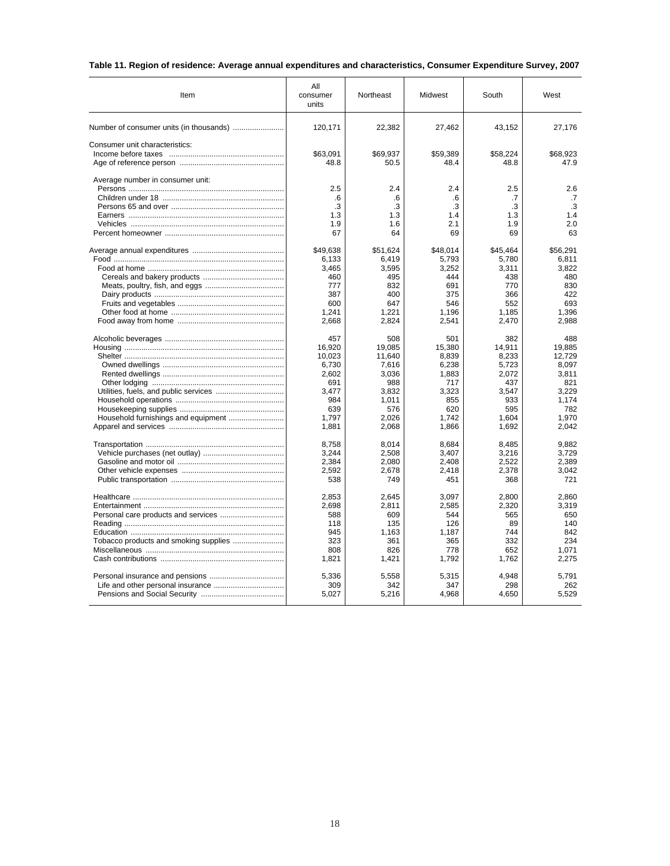|  |  |  |  |  |  | Table 11. Region of residence: Average annual expenditures and characteristics, Consumer Expenditure Survey, 2007 |  |
|--|--|--|--|--|--|-------------------------------------------------------------------------------------------------------------------|--|
|--|--|--|--|--|--|-------------------------------------------------------------------------------------------------------------------|--|

| Item                                | All<br>consumer<br>units | Northeast      | Midwest        | South          | West           |
|-------------------------------------|--------------------------|----------------|----------------|----------------|----------------|
|                                     | 120,171                  | 22,382         | 27,462         | 43,152         | 27,176         |
| Consumer unit characteristics:      |                          |                |                |                |                |
|                                     | \$63.091                 | \$69.937       | \$59.389       | \$58.224       | \$68.923       |
|                                     | 48.8                     | 50.5           | 48.4           | 48.8           | 47.9           |
| Average number in consumer unit:    |                          |                |                |                |                |
|                                     | 2.5                      | 2.4            | 2.4            | 2.5            | 2.6            |
|                                     | .6                       | .6             | .6             | .7             | .7             |
|                                     | .3                       | .3             | .3             | .3             | .3             |
|                                     | 1.3                      | 1.3            | 1.4            | 1.3            | 1.4            |
|                                     | 1.9                      | 1.6            | 2.1            | 1.9            | 2.0            |
|                                     | 67                       | 64             | 69             | 69             | 63             |
|                                     | \$49,638                 | \$51,624       | \$48,014       | \$45,464       | \$56,291       |
|                                     | 6.133                    | 6.419          | 5.793          | 5,780          | 6.811          |
|                                     | 3,465                    | 3,595          | 3,252          | 3,311          | 3,822          |
|                                     | 460                      | 495            | 444            | 438            | 480            |
|                                     | 777                      | 832            | 691            | 770            | 830            |
|                                     | 387                      | 400            | 375            | 366            | 422            |
|                                     | 600                      | 647            | 546            | 552            | 693            |
|                                     | 1.241<br>2,668           | 1.221<br>2,824 | 1.196<br>2,541 | 1.185<br>2,470 | 1.396<br>2,988 |
|                                     |                          |                |                |                |                |
|                                     | 457                      | 508            | 501            | 382            | 488            |
|                                     | 16.920                   | 19.085         | 15.380         | 14.911         | 19.885         |
|                                     | 10,023                   | 11,640         | 8,839          | 8,233          | 12,729         |
|                                     | 6.730                    | 7.616          | 6.238          | 5.723          | 8.097          |
|                                     | 2,602                    | 3,036          | 1,883          | 2,072          | 3,811          |
|                                     | 691                      | 988            | 717            | 437            | 821            |
|                                     | 3,477                    | 3,832          | 3,323          | 3,547          | 3,229          |
|                                     | 984                      | 1.011          | 855            | 933            | 1.174          |
|                                     | 639                      | 576            | 620            | 595            | 782            |
| Household furnishings and equipment | 1.797                    | 2.026          | 1.742          | 1.604          | 1.970          |
|                                     | 1,881                    | 2,068          | 1,866          | 1,692          | 2,042          |
|                                     | 8,758                    | 8,014          | 8,684          | 8,485          | 9,882          |
|                                     | 3,244                    | 2,508          | 3,407          | 3,216          | 3,729          |
|                                     | 2,384                    | 2,080          | 2,408          | 2,522          | 2.389          |
|                                     | 2,592                    | 2,678          | 2,418          | 2,378          | 3,042          |
|                                     | 538                      | 749            | 451            | 368            | 721            |
|                                     | 2,853                    | 2,645          | 3,097          | 2,800          | 2,860          |
|                                     | 2,698                    | 2,811          | 2,585          | 2,320          | 3,319          |
|                                     | 588                      | 609            | 544            | 565            | 650            |
|                                     | 118                      | 135            | 126            | 89             | 140            |
|                                     | 945                      | 1,163          | 1,187          | 744            | 842            |
|                                     | 323                      | 361            | 365            | 332            | 234            |
|                                     | 808                      | 826            | 778            | 652            | 1.071          |
|                                     | 1,821                    | 1,421          | 1,792          | 1,762          | 2,275          |
|                                     | 5,336                    | 5,558          | 5,315          | 4,948          | 5,791          |
|                                     | 309                      | 342            | 347            | 298            | 262            |
|                                     | 5,027                    | 5,216          | 4,968          | 4,650          | 5,529          |
|                                     |                          |                |                |                |                |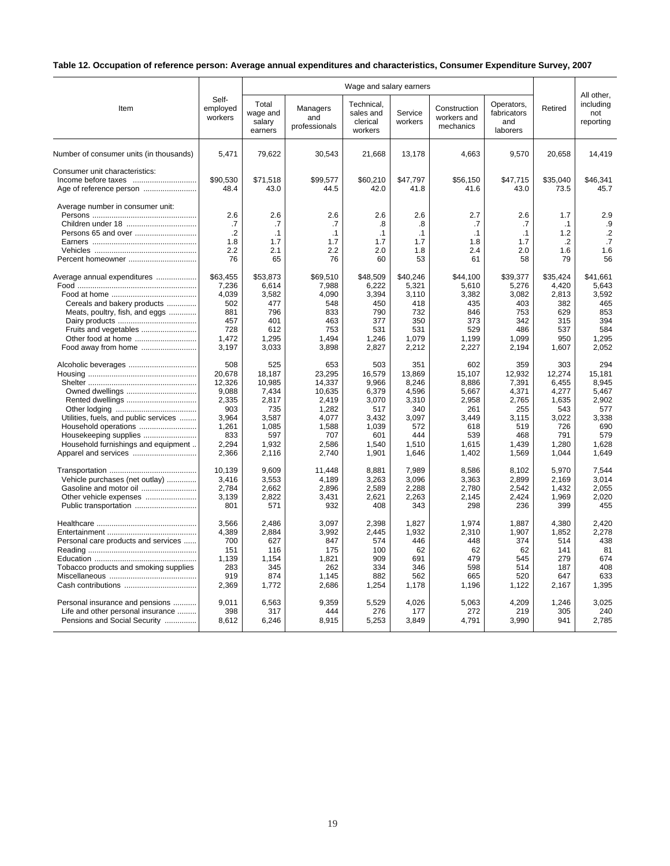# **Table 12. Occupation of reference person: Average annual expenditures and characteristics, Consumer Expenditure Survey, 2007**

|                                                                              | Wage and salary earners      |                                        |                                  |                                                |                        |                                          |                                              |                                    | All other.                    |
|------------------------------------------------------------------------------|------------------------------|----------------------------------------|----------------------------------|------------------------------------------------|------------------------|------------------------------------------|----------------------------------------------|------------------------------------|-------------------------------|
| Item                                                                         | Self-<br>employed<br>workers | Total<br>wage and<br>salary<br>earners | Managers<br>and<br>professionals | Technical,<br>sales and<br>clerical<br>workers | Service<br>workers     | Construction<br>workers and<br>mechanics | Operators,<br>fabricators<br>and<br>laborers | Retired                            | including<br>not<br>reporting |
| Number of consumer units (in thousands)                                      | 5,471                        | 79,622                                 | 30,543                           | 21,668                                         | 13,178                 | 4,663                                    | 9,570                                        | 20,658                             | 14,419                        |
| Consumer unit characteristics:<br>Age of reference person                    | \$90,530<br>48.4             | \$71,518<br>43.0                       | \$99,577<br>44.5                 | \$60,210<br>42.0                               | \$47,797<br>41.8       | \$56,150<br>41.6                         | \$47,715<br>43.0                             | \$35,040<br>73.5                   | \$46,341<br>45.7              |
| Average number in consumer unit:<br>Children under 18<br>Persons 65 and over | 2.6<br>.7<br>$\cdot$<br>1.8  | 2.6<br>.7<br>$\cdot$ 1<br>1.7          | 2.6<br>.7<br>$\cdot$ 1<br>1.7    | 2.6<br>.8<br>$\cdot$ 1<br>1.7                  | 2.6<br>.8<br>.1<br>1.7 | 2.7<br>.7<br>$\cdot$ 1<br>1.8            | 2.6<br>.7<br>.1<br>1.7                       | 1.7<br>$\cdot$ 1<br>1.2<br>$\cdot$ | 2.9<br>.9<br>$\cdot$<br>.7    |
|                                                                              | 2.2                          | 2.1                                    | 2.2                              | 2.0                                            | 1.8                    | 2.4                                      | 2.0                                          | 1.6                                | 1.6                           |
| Percent homeowner                                                            | 76                           | 65                                     | 76                               | 60                                             | 53                     | 61                                       | 58                                           | 79                                 | 56                            |
| Average annual expenditures                                                  | \$63,455                     | \$53.873                               | \$69.510                         | \$48,509                                       | \$40,246               | \$44.100                                 | \$39.377                                     | \$35.424                           | \$41.661                      |
|                                                                              | 7,236                        | 6,614                                  | 7.988                            | 6.222                                          | 5.321                  | 5,610                                    | 5,276                                        | 4,420                              | 5.643                         |
|                                                                              | 4,039                        | 3,582                                  | 4,090                            | 3,394                                          | 3,110                  | 3,382                                    | 3,082                                        | 2,813                              | 3,592                         |
| Cereals and bakery products                                                  | 502                          | 477                                    | 548                              | 450                                            | 418                    | 435                                      | 403                                          | 382                                | 465                           |
| Meats, poultry, fish, and eggs                                               | 881                          | 796                                    | 833                              | 790                                            | 732                    | 846                                      | 753                                          | 629                                | 853                           |
|                                                                              | 457                          | 401                                    | 463                              | 377                                            | 350                    | 373                                      | 342                                          | 315                                | 394                           |
| Fruits and vegetables                                                        | 728                          | 612                                    | 753                              | 531                                            | 531                    | 529                                      | 486                                          | 537                                | 584                           |
| Other food at home                                                           | 1,472                        | 1,295                                  | 1,494                            | 1,246                                          | 1,079                  | 1,199                                    | 1,099                                        | 950                                | 1,295                         |
| Food away from home                                                          | 3,197                        | 3,033                                  | 3,898                            | 2,827                                          | 2,212                  | 2,227                                    | 2,194                                        | 1,607                              | 2,052                         |
| Alcoholic beverages                                                          | 508                          | 525                                    | 653                              | 503                                            | 351                    | 602                                      | 359                                          | 303                                | 294                           |
|                                                                              | 20,678                       | 18,187                                 | 23,295                           | 16,579                                         | 13,869                 | 15,107                                   | 12,932                                       | 12,274                             | 15,181                        |
|                                                                              | 12,326                       | 10,985                                 | 14,337                           | 9,966                                          | 8,246                  | 8,886                                    | 7,391                                        | 6,455                              | 8,945                         |
|                                                                              | 9,088                        | 7,434                                  | 10,635                           | 6,379                                          | 4,596                  | 5,667                                    | 4,371                                        | 4,277                              | 5,467                         |
| Rented dwellings                                                             | 2,335                        | 2,817                                  | 2,419                            | 3,070                                          | 3,310                  | 2,958                                    | 2,765                                        | 1,635                              | 2,902                         |
|                                                                              | 903                          | 735                                    | 1,282                            | 517                                            | 340                    | 261                                      | 255                                          | 543                                | 577                           |
| Utilities, fuels, and public services                                        | 3,964                        | 3,587                                  | 4,077                            | 3,432                                          | 3,097                  | 3,449                                    | 3,115                                        | 3,022                              | 3,338                         |
| Household operations                                                         | 1,261                        | 1,085                                  | 1,588                            | 1,039                                          | 572                    | 618                                      | 519                                          | 726                                | 690                           |
| Housekeeping supplies                                                        | 833                          | 597                                    | 707                              | 601                                            | 444                    | 539                                      | 468                                          | 791                                | 579                           |
| Household furnishings and equipment                                          | 2,294                        | 1,932                                  | 2,586                            | 1,540                                          | 1,510                  | 1,615                                    | 1,439                                        | 1,280                              | 1,628                         |
| Apparel and services                                                         | 2,366                        | 2,116                                  | 2,740                            | 1,901                                          | 1,646                  | 1,402                                    | 1,569                                        | 1,044                              | 1,649                         |
|                                                                              | 10,139                       | 9,609                                  | 11,448                           | 8,881                                          | 7,989                  | 8,586                                    | 8,102                                        | 5,970                              | 7,544                         |
| Vehicle purchases (net outlay)                                               | 3.416                        | 3,553                                  | 4,189                            | 3,263                                          | 3,096                  | 3,363                                    | 2,899                                        | 2,169                              | 3.014                         |
| Gasoline and motor oil                                                       | 2,784                        | 2,662                                  | 2,896                            | 2,589                                          | 2,288                  | 2,780                                    | 2,542                                        | 1,432                              | 2,055                         |
| Other vehicle expenses                                                       | 3,139                        | 2,822                                  | 3,431                            | 2,621                                          | 2,263                  | 2,145                                    | 2,424                                        | 1,969                              | 2,020                         |
|                                                                              | 801                          | 571                                    | 932                              | 408                                            | 343                    | 298                                      | 236                                          | 399                                | 455                           |
|                                                                              | 3,566                        | 2,486                                  | 3,097                            | 2,398                                          | 1,827                  | 1.974                                    | 1,887                                        | 4,380                              | 2,420                         |
|                                                                              | 4,389                        | 2,884                                  | 3,992                            | 2,445                                          | 1,932                  | 2,310                                    | 1,907                                        | 1,852                              | 2,278                         |
| Personal care products and services                                          | 700                          | 627                                    | 847                              | 574                                            | 446                    | 448                                      | 374                                          | 514                                | 438                           |
|                                                                              | 151                          | 116                                    | 175                              | 100                                            | 62                     | 62                                       | 62                                           | 141                                | 81                            |
|                                                                              | 1,139                        | 1,154                                  | 1,821                            | 909                                            | 691                    | 479                                      | 545                                          | 279                                | 674                           |
| Tobacco products and smoking supplies                                        | 283                          | 345                                    | 262                              | 334                                            | 346                    | 598                                      | 514                                          | 187                                | 408                           |
|                                                                              | 919                          | 874                                    | 1,145                            | 882                                            | 562                    | 665                                      | 520                                          | 647                                | 633                           |
| Cash contributions                                                           | 2,369                        | 1,772                                  | 2,686                            | 1,254                                          | 1,178                  | 1,196                                    | 1,122                                        | 2,167                              | 1,395                         |
| Personal insurance and pensions                                              | 9.011                        | 6,563                                  | 9,359                            | 5,529                                          | 4,026                  | 5,063                                    | 4,209                                        | 1,246                              | 3.025                         |
| Life and other personal insurance                                            | 398                          | 317                                    | 444                              | 276                                            | 177                    | 272                                      | 219                                          | 305                                | 240                           |
| Pensions and Social Security                                                 | 8,612                        | 6,246                                  | 8,915                            | 5,253                                          | 3,849                  | 4,791                                    | 3,990                                        | 941                                | 2,785                         |